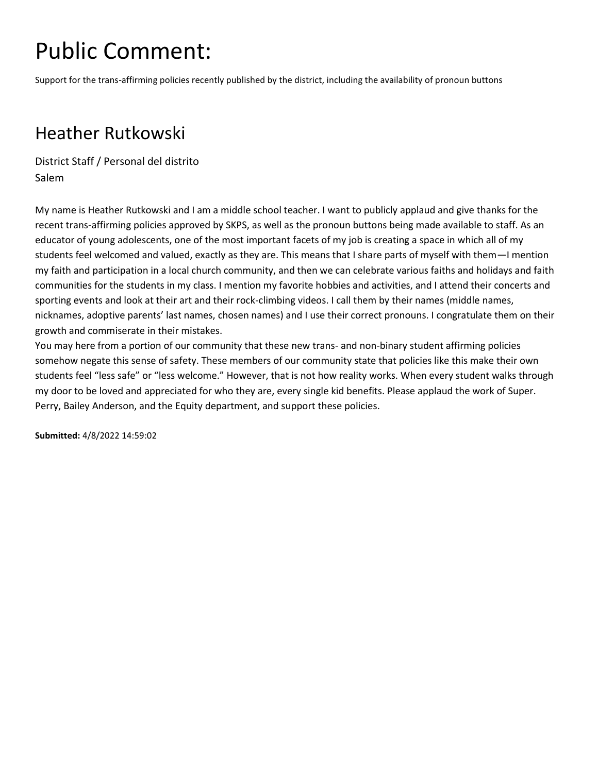Support for the trans-affirming policies recently published by the district, including the availability of pronoun buttons

#### Heather Rutkowski

District Staff / Personal del distrito Salem

My name is Heather Rutkowski and I am a middle school teacher. I want to publicly applaud and give thanks for the recent trans-affirming policies approved by SKPS, as well as the pronoun buttons being made available to staff. As an educator of young adolescents, one of the most important facets of my job is creating a space in which all of my students feel welcomed and valued, exactly as they are. This means that I share parts of myself with them—I mention my faith and participation in a local church community, and then we can celebrate various faiths and holidays and faith communities for the students in my class. I mention my favorite hobbies and activities, and I attend their concerts and sporting events and look at their art and their rock-climbing videos. I call them by their names (middle names, nicknames, adoptive parents' last names, chosen names) and I use their correct pronouns. I congratulate them on their growth and commiserate in their mistakes.

You may here from a portion of our community that these new trans- and non-binary student affirming policies somehow negate this sense of safety. These members of our community state that policies like this make their own students feel "less safe" or "less welcome." However, that is not how reality works. When every student walks through my door to be loved and appreciated for who they are, every single kid benefits. Please applaud the work of Super. Perry, Bailey Anderson, and the Equity department, and support these policies.

**Submitted:** 4/8/2022 14:59:02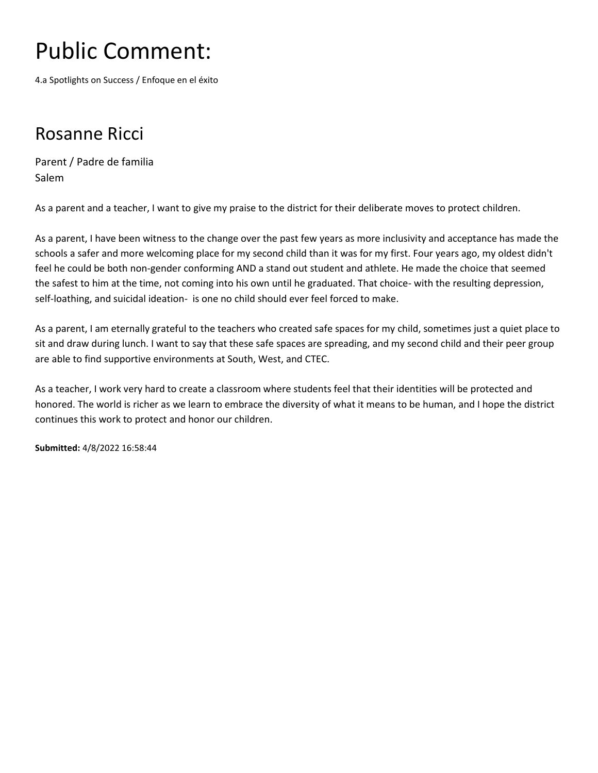4.a Spotlights on Success / Enfoque en el éxito

#### Rosanne Ricci

Parent / Padre de familia Salem

As a parent and a teacher, I want to give my praise to the district for their deliberate moves to protect children.

As a parent, I have been witness to the change over the past few years as more inclusivity and acceptance has made the schools a safer and more welcoming place for my second child than it was for my first. Four years ago, my oldest didn't feel he could be both non-gender conforming AND a stand out student and athlete. He made the choice that seemed the safest to him at the time, not coming into his own until he graduated. That choice- with the resulting depression, self-loathing, and suicidal ideation- is one no child should ever feel forced to make.

As a parent, I am eternally grateful to the teachers who created safe spaces for my child, sometimes just a quiet place to sit and draw during lunch. I want to say that these safe spaces are spreading, and my second child and their peer group are able to find supportive environments at South, West, and CTEC.

As a teacher, I work very hard to create a classroom where students feel that their identities will be protected and honored. The world is richer as we learn to embrace the diversity of what it means to be human, and I hope the district continues this work to protect and honor our children.

**Submitted:** 4/8/2022 16:58:44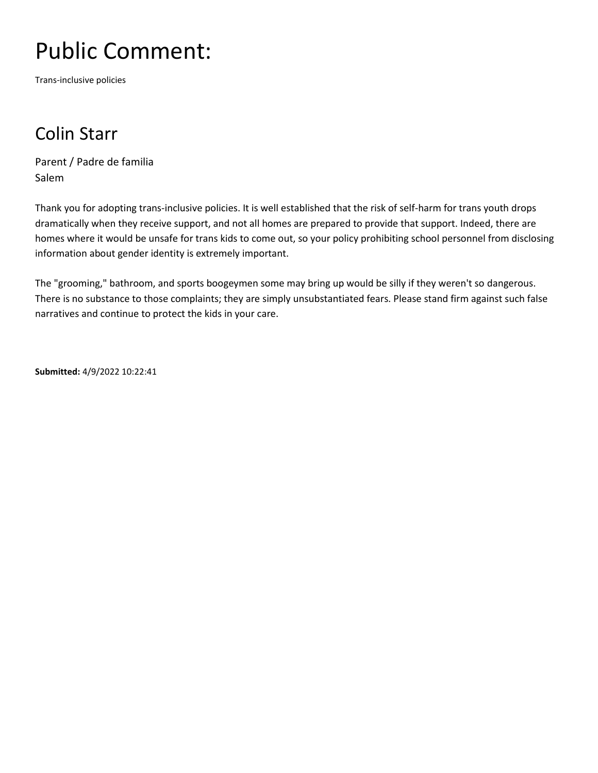Trans-inclusive policies

### Colin Starr

Parent / Padre de familia Salem

Thank you for adopting trans-inclusive policies. It is well established that the risk of self-harm for trans youth drops dramatically when they receive support, and not all homes are prepared to provide that support. Indeed, there are homes where it would be unsafe for trans kids to come out, so your policy prohibiting school personnel from disclosing information about gender identity is extremely important.

The "grooming," bathroom, and sports boogeymen some may bring up would be silly if they weren't so dangerous. There is no substance to those complaints; they are simply unsubstantiated fears. Please stand firm against such false narratives and continue to protect the kids in your care.

**Submitted:** 4/9/2022 10:22:41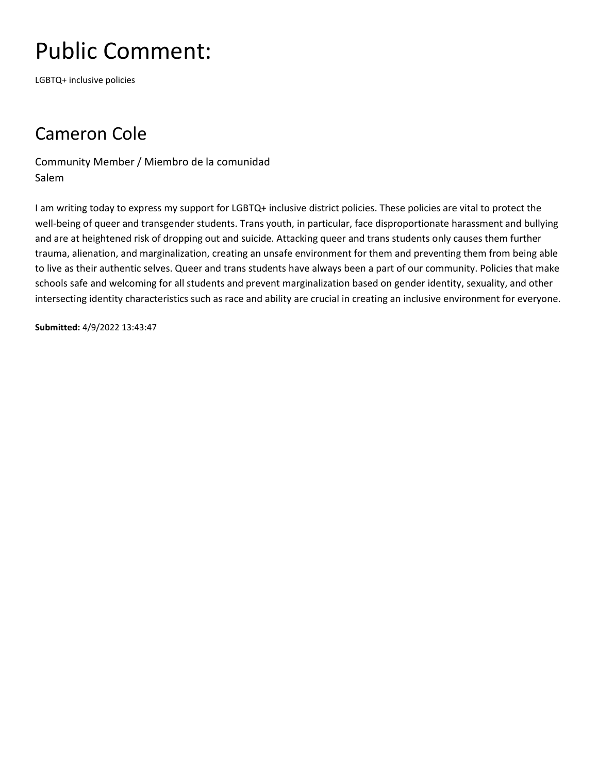LGBTQ+ inclusive policies

### Cameron Cole

Community Member / Miembro de la comunidad Salem

I am writing today to express my support for LGBTQ+ inclusive district policies. These policies are vital to protect the well-being of queer and transgender students. Trans youth, in particular, face disproportionate harassment and bullying and are at heightened risk of dropping out and suicide. Attacking queer and trans students only causes them further trauma, alienation, and marginalization, creating an unsafe environment for them and preventing them from being able to live as their authentic selves. Queer and trans students have always been a part of our community. Policies that make schools safe and welcoming for all students and prevent marginalization based on gender identity, sexuality, and other intersecting identity characteristics such as race and ability are crucial in creating an inclusive environment for everyone.

**Submitted:** 4/9/2022 13:43:47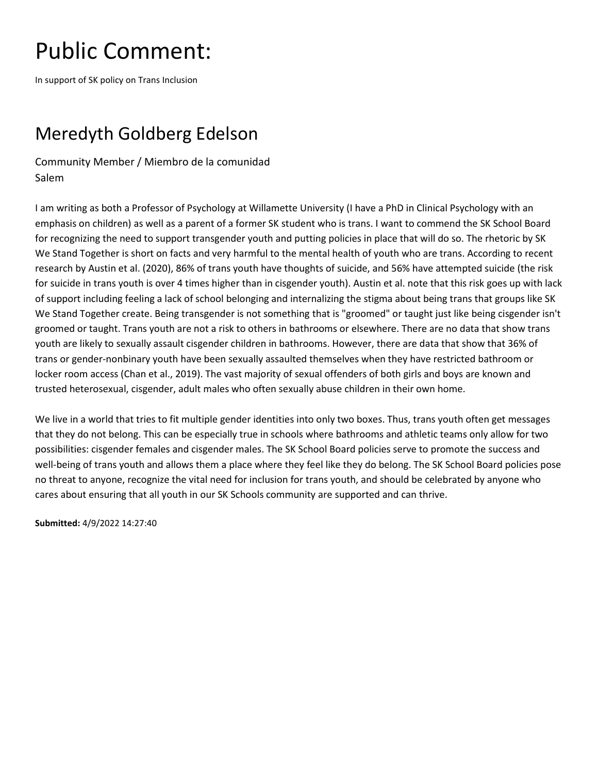In support of SK policy on Trans Inclusion

### Meredyth Goldberg Edelson

Community Member / Miembro de la comunidad Salem

I am writing as both a Professor of Psychology at Willamette University (I have a PhD in Clinical Psychology with an emphasis on children) as well as a parent of a former SK student who is trans. I want to commend the SK School Board for recognizing the need to support transgender youth and putting policies in place that will do so. The rhetoric by SK We Stand Together is short on facts and very harmful to the mental health of youth who are trans. According to recent research by Austin et al. (2020), 86% of trans youth have thoughts of suicide, and 56% have attempted suicide (the risk for suicide in trans youth is over 4 times higher than in cisgender youth). Austin et al. note that this risk goes up with lack of support including feeling a lack of school belonging and internalizing the stigma about being trans that groups like SK We Stand Together create. Being transgender is not something that is "groomed" or taught just like being cisgender isn't groomed or taught. Trans youth are not a risk to others in bathrooms or elsewhere. There are no data that show trans youth are likely to sexually assault cisgender children in bathrooms. However, there are data that show that 36% of trans or gender-nonbinary youth have been sexually assaulted themselves when they have restricted bathroom or locker room access (Chan et al., 2019). The vast majority of sexual offenders of both girls and boys are known and trusted heterosexual, cisgender, adult males who often sexually abuse children in their own home.

We live in a world that tries to fit multiple gender identities into only two boxes. Thus, trans youth often get messages that they do not belong. This can be especially true in schools where bathrooms and athletic teams only allow for two possibilities: cisgender females and cisgender males. The SK School Board policies serve to promote the success and well-being of trans youth and allows them a place where they feel like they do belong. The SK School Board policies pose no threat to anyone, recognize the vital need for inclusion for trans youth, and should be celebrated by anyone who cares about ensuring that all youth in our SK Schools community are supported and can thrive.

**Submitted:** 4/9/2022 14:27:40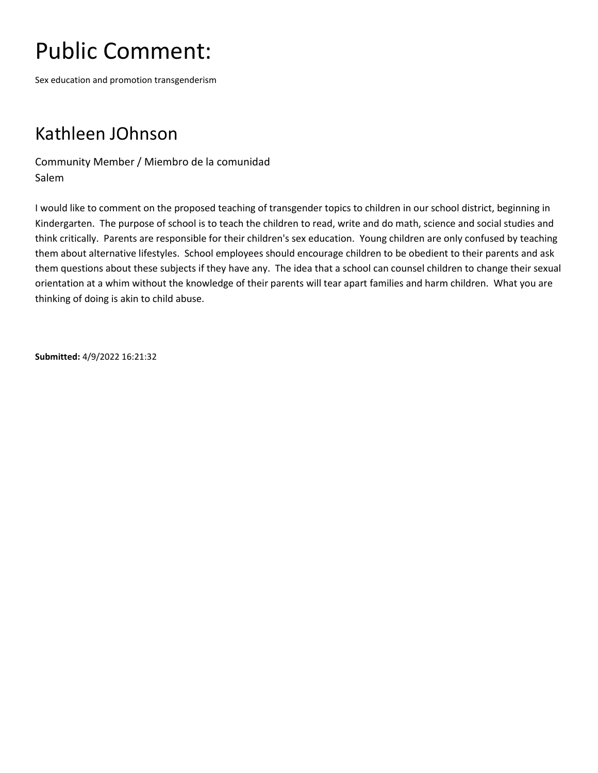Sex education and promotion transgenderism

#### Kathleen JOhnson

Community Member / Miembro de la comunidad Salem

I would like to comment on the proposed teaching of transgender topics to children in our school district, beginning in Kindergarten. The purpose of school is to teach the children to read, write and do math, science and social studies and think critically. Parents are responsible for their children's sex education. Young children are only confused by teaching them about alternative lifestyles. School employees should encourage children to be obedient to their parents and ask them questions about these subjects if they have any. The idea that a school can counsel children to change their sexual orientation at a whim without the knowledge of their parents will tear apart families and harm children. What you are thinking of doing is akin to child abuse.

**Submitted:** 4/9/2022 16:21:32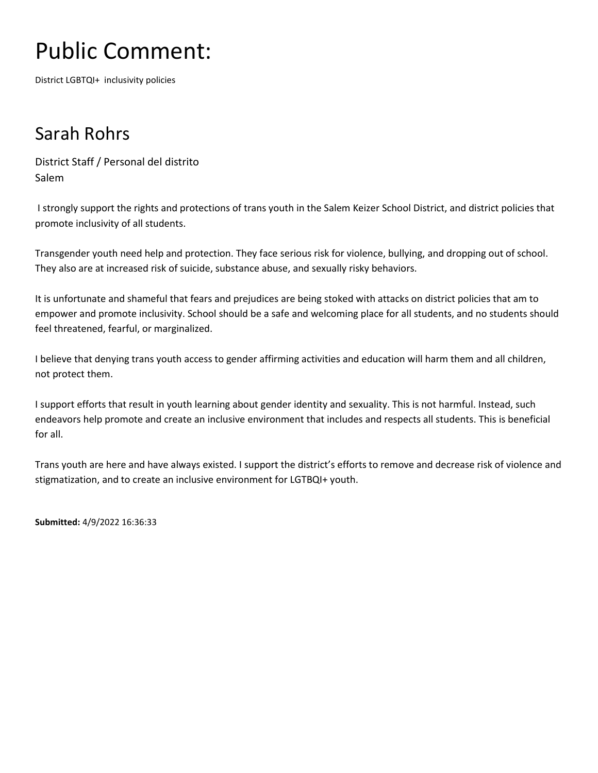District LGBTQI+ inclusivity policies

### Sarah Rohrs

District Staff / Personal del distrito Salem

I strongly support the rights and protections of trans youth in the Salem Keizer School District, and district policies that promote inclusivity of all students.

Transgender youth need help and protection. They face serious risk for violence, bullying, and dropping out of school. They also are at increased risk of suicide, substance abuse, and sexually risky behaviors.

It is unfortunate and shameful that fears and prejudices are being stoked with attacks on district policies that am to empower and promote inclusivity. School should be a safe and welcoming place for all students, and no students should feel threatened, fearful, or marginalized.

I believe that denying trans youth access to gender affirming activities and education will harm them and all children, not protect them.

I support efforts that result in youth learning about gender identity and sexuality. This is not harmful. Instead, such endeavors help promote and create an inclusive environment that includes and respects all students. This is beneficial for all.

Trans youth are here and have always existed. I support the district's efforts to remove and decrease risk of violence and stigmatization, and to create an inclusive environment for LGTBQI+ youth.

**Submitted:** 4/9/2022 16:36:33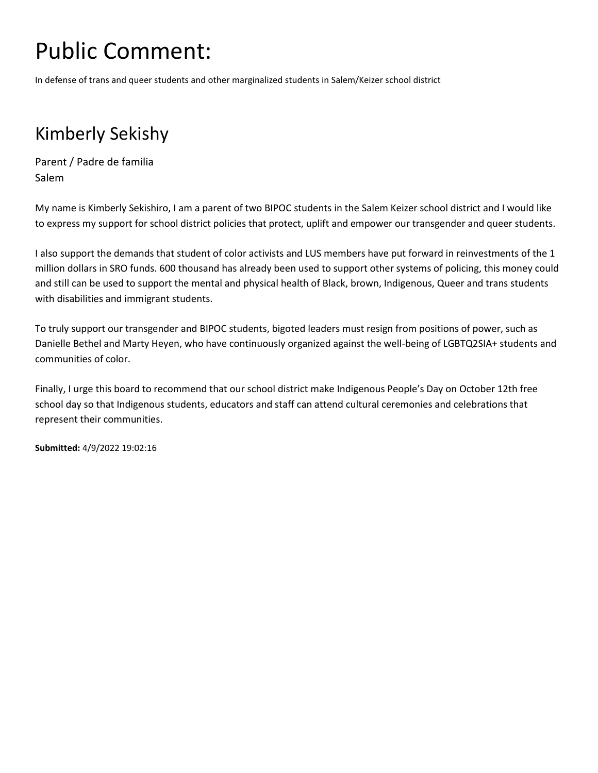In defense of trans and queer students and other marginalized students in Salem/Keizer school district

### Kimberly Sekishy

Parent / Padre de familia Salem

My name is Kimberly Sekishiro, I am a parent of two BIPOC students in the Salem Keizer school district and I would like to express my support for school district policies that protect, uplift and empower our transgender and queer students.

I also support the demands that student of color activists and LUS members have put forward in reinvestments of the 1 million dollars in SRO funds. 600 thousand has already been used to support other systems of policing, this money could and still can be used to support the mental and physical health of Black, brown, Indigenous, Queer and trans students with disabilities and immigrant students.

To truly support our transgender and BIPOC students, bigoted leaders must resign from positions of power, such as Danielle Bethel and Marty Heyen, who have continuously organized against the well-being of LGBTQ2SIA+ students and communities of color.

Finally, I urge this board to recommend that our school district make Indigenous People's Day on October 12th free school day so that Indigenous students, educators and staff can attend cultural ceremonies and celebrations that represent their communities.

**Submitted:** 4/9/2022 19:02:16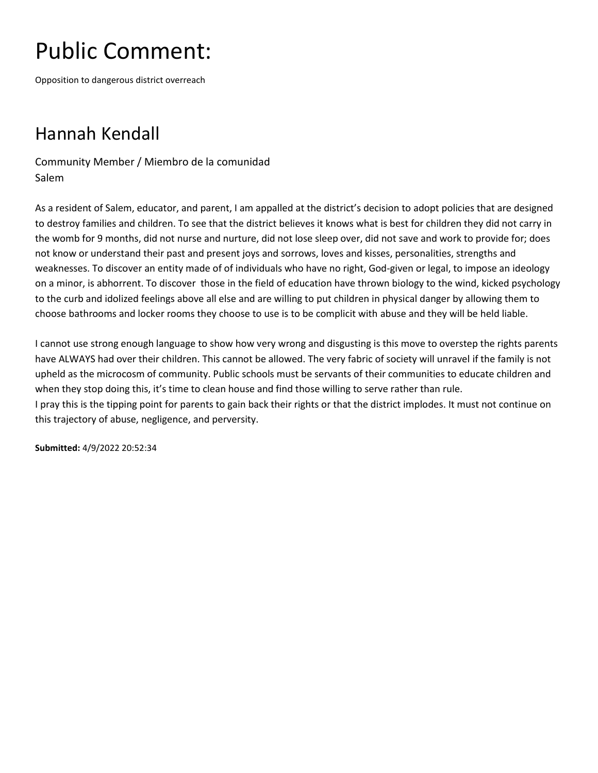Opposition to dangerous district overreach

### Hannah Kendall

Community Member / Miembro de la comunidad Salem

As a resident of Salem, educator, and parent, I am appalled at the district's decision to adopt policies that are designed to destroy families and children. To see that the district believes it knows what is best for children they did not carry in the womb for 9 months, did not nurse and nurture, did not lose sleep over, did not save and work to provide for; does not know or understand their past and present joys and sorrows, loves and kisses, personalities, strengths and weaknesses. To discover an entity made of of individuals who have no right, God-given or legal, to impose an ideology on a minor, is abhorrent. To discover those in the field of education have thrown biology to the wind, kicked psychology to the curb and idolized feelings above all else and are willing to put children in physical danger by allowing them to choose bathrooms and locker rooms they choose to use is to be complicit with abuse and they will be held liable.

I cannot use strong enough language to show how very wrong and disgusting is this move to overstep the rights parents have ALWAYS had over their children. This cannot be allowed. The very fabric of society will unravel if the family is not upheld as the microcosm of community. Public schools must be servants of their communities to educate children and when they stop doing this, it's time to clean house and find those willing to serve rather than rule. I pray this is the tipping point for parents to gain back their rights or that the district implodes. It must not continue on this trajectory of abuse, negligence, and perversity.

**Submitted:** 4/9/2022 20:52:34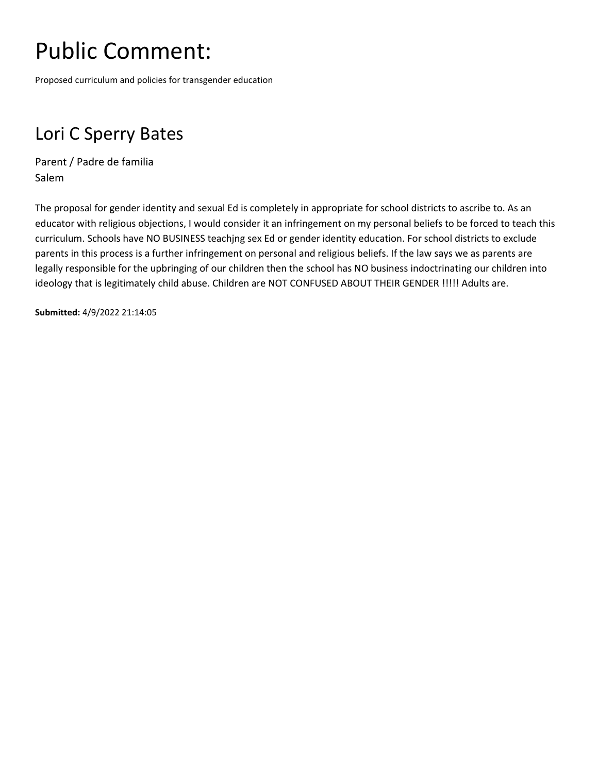Proposed curriculum and policies for transgender education

### Lori C Sperry Bates

Parent / Padre de familia Salem

The proposal for gender identity and sexual Ed is completely in appropriate for school districts to ascribe to. As an educator with religious objections, I would consider it an infringement on my personal beliefs to be forced to teach this curriculum. Schools have NO BUSINESS teachjng sex Ed or gender identity education. For school districts to exclude parents in this process is a further infringement on personal and religious beliefs. If the law says we as parents are legally responsible for the upbringing of our children then the school has NO business indoctrinating our children into ideology that is legitimately child abuse. Children are NOT CONFUSED ABOUT THEIR GENDER !!!!! Adults are.

**Submitted:** 4/9/2022 21:14:05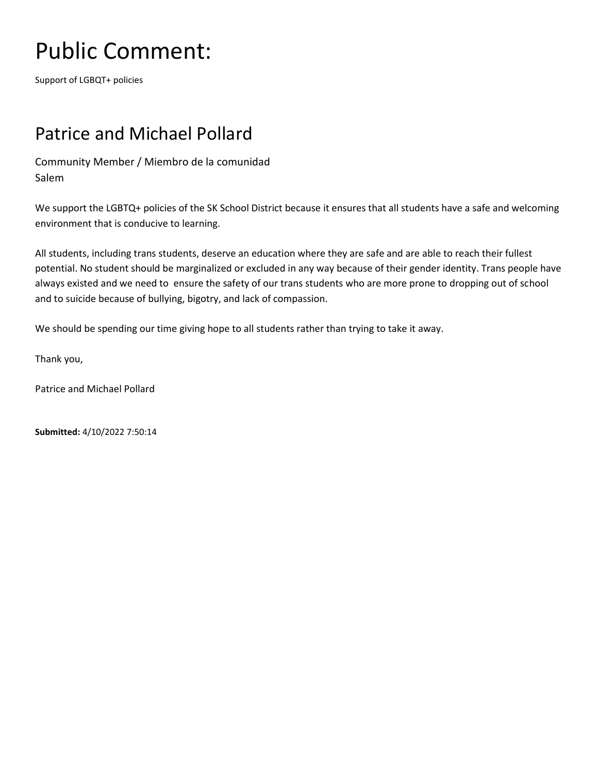Support of LGBQT+ policies

#### Patrice and Michael Pollard

Community Member / Miembro de la comunidad Salem

We support the LGBTQ+ policies of the SK School District because it ensures that all students have a safe and welcoming environment that is conducive to learning.

All students, including trans students, deserve an education where they are safe and are able to reach their fullest potential. No student should be marginalized or excluded in any way because of their gender identity. Trans people have always existed and we need to ensure the safety of our trans students who are more prone to dropping out of school and to suicide because of bullying, bigotry, and lack of compassion.

We should be spending our time giving hope to all students rather than trying to take it away.

Thank you,

Patrice and Michael Pollard

**Submitted:** 4/10/2022 7:50:14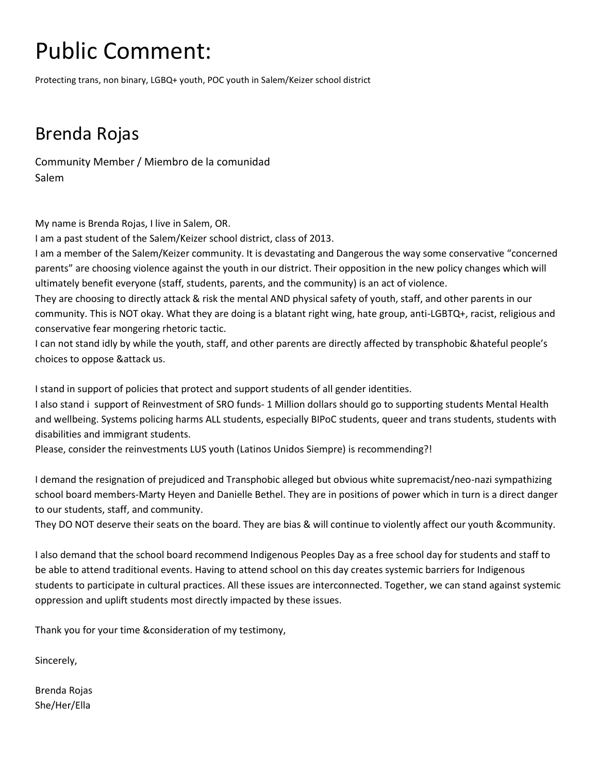Protecting trans, non binary, LGBQ+ youth, POC youth in Salem/Keizer school district

### Brenda Rojas

Community Member / Miembro de la comunidad Salem

My name is Brenda Rojas, I live in Salem, OR.

I am a past student of the Salem/Keizer school district, class of 2013.

I am a member of the Salem/Keizer community. It is devastating and Dangerous the way some conservative "concerned parents" are choosing violence against the youth in our district. Their opposition in the new policy changes which will ultimately benefit everyone (staff, students, parents, and the community) is an act of violence.

They are choosing to directly attack & risk the mental AND physical safety of youth, staff, and other parents in our community. This is NOT okay. What they are doing is a blatant right wing, hate group, anti-LGBTQ+, racist, religious and conservative fear mongering rhetoric tactic.

I can not stand idly by while the youth, staff, and other parents are directly affected by transphobic &hateful people's choices to oppose &attack us.

I stand in support of policies that protect and support students of all gender identities.

I also stand i support of Reinvestment of SRO funds- 1 Million dollars should go to supporting students Mental Health and wellbeing. Systems policing harms ALL students, especially BIPoC students, queer and trans students, students with disabilities and immigrant students.

Please, consider the reinvestments LUS youth (Latinos Unidos Siempre) is recommending?!

I demand the resignation of prejudiced and Transphobic alleged but obvious white supremacist/neo-nazi sympathizing school board members-Marty Heyen and Danielle Bethel. They are in positions of power which in turn is a direct danger to our students, staff, and community.

They DO NOT deserve their seats on the board. They are bias & will continue to violently affect our youth &community.

I also demand that the school board recommend Indigenous Peoples Day as a free school day for students and staff to be able to attend traditional events. Having to attend school on this day creates systemic barriers for Indigenous students to participate in cultural practices. All these issues are interconnected. Together, we can stand against systemic oppression and uplift students most directly impacted by these issues.

Thank you for your time &consideration of my testimony,

Sincerely,

Brenda Rojas She/Her/Ella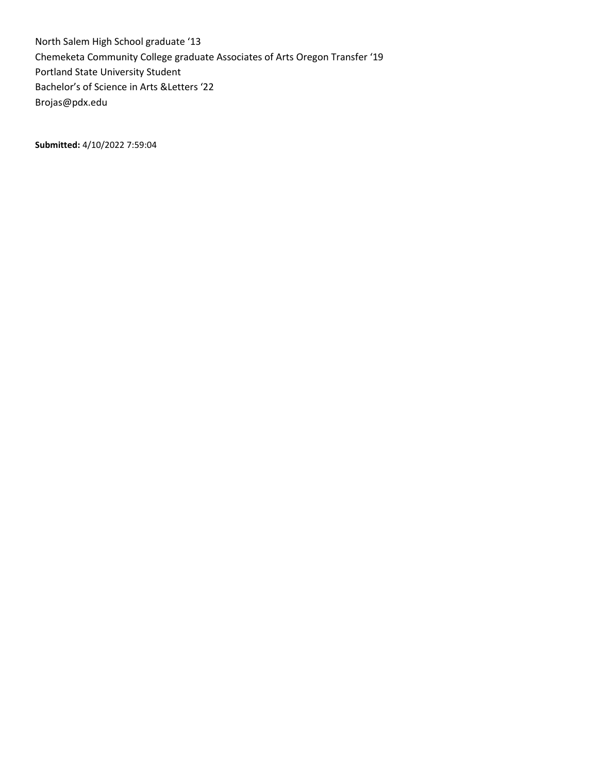North Salem High School graduate '13 Chemeketa Community College graduate Associates of Arts Oregon Transfer '19 Portland State University Student Bachelor's of Science in Arts &Letters '22 Brojas@pdx.edu

**Submitted:** 4/10/2022 7:59:04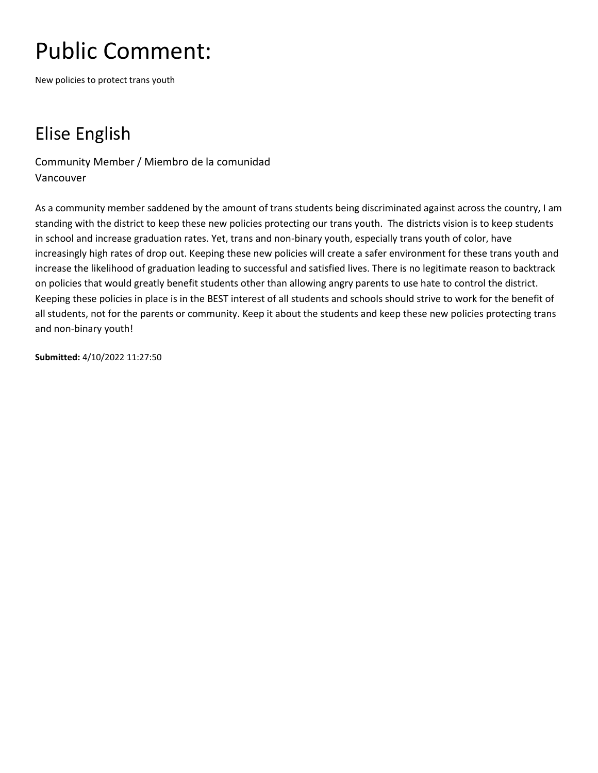New policies to protect trans youth

### Elise English

Community Member / Miembro de la comunidad Vancouver

As a community member saddened by the amount of trans students being discriminated against across the country, I am standing with the district to keep these new policies protecting our trans youth. The districts vision is to keep students in school and increase graduation rates. Yet, trans and non-binary youth, especially trans youth of color, have increasingly high rates of drop out. Keeping these new policies will create a safer environment for these trans youth and increase the likelihood of graduation leading to successful and satisfied lives. There is no legitimate reason to backtrack on policies that would greatly benefit students other than allowing angry parents to use hate to control the district. Keeping these policies in place is in the BEST interest of all students and schools should strive to work for the benefit of all students, not for the parents or community. Keep it about the students and keep these new policies protecting trans and non-binary youth!

**Submitted:** 4/10/2022 11:27:50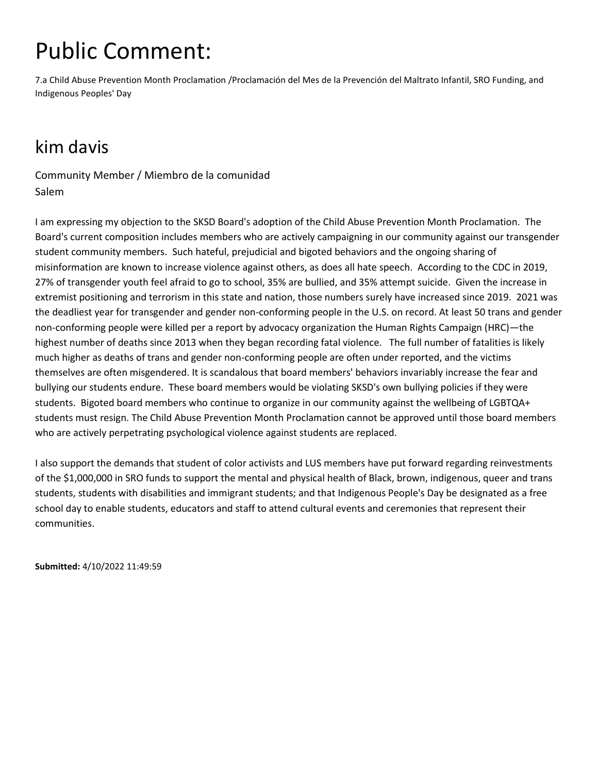7.a Child Abuse Prevention Month Proclamation /Proclamación del Mes de la Prevención del Maltrato Infantil, SRO Funding, and Indigenous Peoples' Day

### kim davis

Community Member / Miembro de la comunidad Salem

I am expressing my objection to the SKSD Board's adoption of the Child Abuse Prevention Month Proclamation. The Board's current composition includes members who are actively campaigning in our community against our transgender student community members. Such hateful, prejudicial and bigoted behaviors and the ongoing sharing of misinformation are known to increase violence against others, as does all hate speech. According to the CDC in 2019, 27% of transgender youth feel afraid to go to school, 35% are bullied, and 35% attempt suicide. Given the increase in extremist positioning and terrorism in this state and nation, those numbers surely have increased since 2019. 2021 was the deadliest year for transgender and gender non-conforming people in the U.S. on record. At least 50 trans and gender non-conforming people were killed per a report by advocacy organization the Human Rights Campaign (HRC)—the highest number of deaths since 2013 when they began recording fatal violence. The full number of fatalities is likely much higher as deaths of trans and gender non-conforming people are often under reported, and the victims themselves are often misgendered. It is scandalous that board members' behaviors invariably increase the fear and bullying our students endure. These board members would be violating SKSD's own bullying policies if they were students. Bigoted board members who continue to organize in our community against the wellbeing of LGBTQA+ students must resign. The Child Abuse Prevention Month Proclamation cannot be approved until those board members who are actively perpetrating psychological violence against students are replaced.

I also support the demands that student of color activists and LUS members have put forward regarding reinvestments of the \$1,000,000 in SRO funds to support the mental and physical health of Black, brown, indigenous, queer and trans students, students with disabilities and immigrant students; and that Indigenous People's Day be designated as a free school day to enable students, educators and staff to attend cultural events and ceremonies that represent their communities.

**Submitted:** 4/10/2022 11:49:59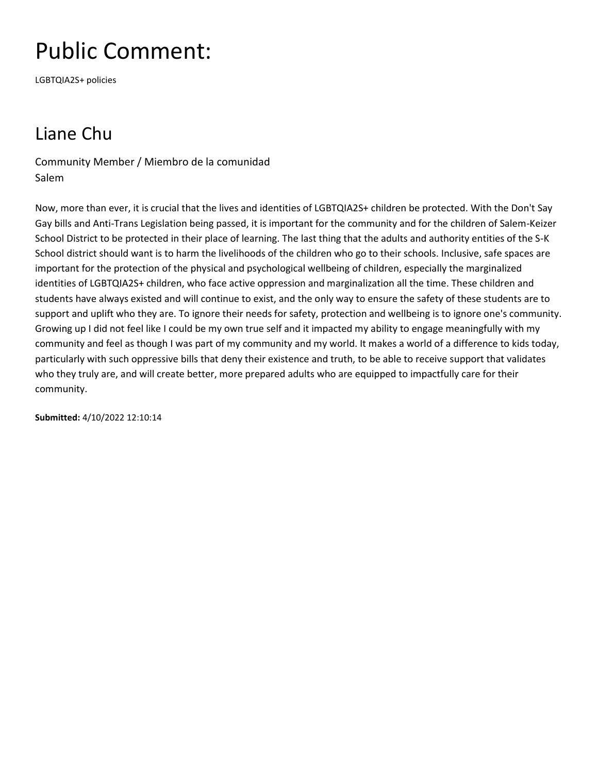LGBTQIA2S+ policies

### Liane Chu

Community Member / Miembro de la comunidad Salem

Now, more than ever, it is crucial that the lives and identities of LGBTQIA2S+ children be protected. With the Don't Say Gay bills and Anti-Trans Legislation being passed, it is important for the community and for the children of Salem-Keizer School District to be protected in their place of learning. The last thing that the adults and authority entities of the S-K School district should want is to harm the livelihoods of the children who go to their schools. Inclusive, safe spaces are important for the protection of the physical and psychological wellbeing of children, especially the marginalized identities of LGBTQIA2S+ children, who face active oppression and marginalization all the time. These children and students have always existed and will continue to exist, and the only way to ensure the safety of these students are to support and uplift who they are. To ignore their needs for safety, protection and wellbeing is to ignore one's community. Growing up I did not feel like I could be my own true self and it impacted my ability to engage meaningfully with my community and feel as though I was part of my community and my world. It makes a world of a difference to kids today, particularly with such oppressive bills that deny their existence and truth, to be able to receive support that validates who they truly are, and will create better, more prepared adults who are equipped to impactfully care for their community.

**Submitted:** 4/10/2022 12:10:14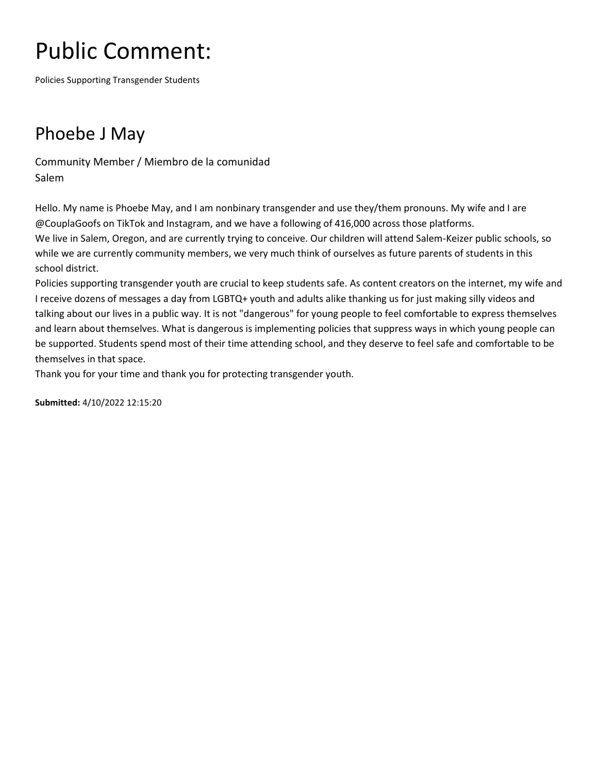Policies Supporting Transgender Students

### Phoebe J May

Community Member / Miembro de la comunidad Salem

Hello. My name is Phoebe May, and I am nonbinary transgender and use they/them pronouns. My wife and I are @CouplaGoofs on TikTok and Instagram, and we have a following of 416,000 across those platforms. We live in Salem, Oregon, and are currently trying to conceive. Our children will attend Salem-Keizer public schools, so while we are currently community members, we very much think of ourselves as future parents of students in this school district.

Policies supporting transgender youth are crucial to keep students safe. As content creators on the internet, my wife and I receive dozens of messages a day from LGBTQ+ youth and adults alike thanking us for just making silly videos and talking about our lives in a public way. It is not "dangerous" for young people to feel comfortable to express themselves and learn about themselves. What is dangerous is implementing policies that suppress ways in which young people can be supported. Students spend most of their time attending school, and they deserve to feel safe and comfortable to be themselves in that space.

Thank you for your time and thank you for protecting transgender youth.

**Submitted:** 4/10/2022 12:15:20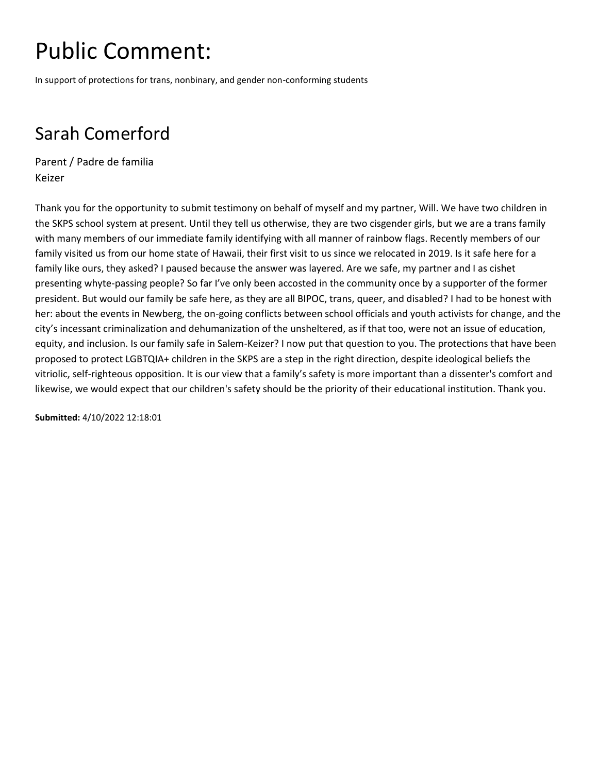In support of protections for trans, nonbinary, and gender non-conforming students

### Sarah Comerford

Parent / Padre de familia Keizer

Thank you for the opportunity to submit testimony on behalf of myself and my partner, Will. We have two children in the SKPS school system at present. Until they tell us otherwise, they are two cisgender girls, but we are a trans family with many members of our immediate family identifying with all manner of rainbow flags. Recently members of our family visited us from our home state of Hawaii, their first visit to us since we relocated in 2019. Is it safe here for a family like ours, they asked? I paused because the answer was layered. Are we safe, my partner and I as cishet presenting whyte-passing people? So far I've only been accosted in the community once by a supporter of the former president. But would our family be safe here, as they are all BIPOC, trans, queer, and disabled? I had to be honest with her: about the events in Newberg, the on-going conflicts between school officials and youth activists for change, and the city's incessant criminalization and dehumanization of the unsheltered, as if that too, were not an issue of education, equity, and inclusion. Is our family safe in Salem-Keizer? I now put that question to you. The protections that have been proposed to protect LGBTQIA+ children in the SKPS are a step in the right direction, despite ideological beliefs the vitriolic, self-righteous opposition. It is our view that a family's safety is more important than a dissenter's comfort and likewise, we would expect that our children's safety should be the priority of their educational institution. Thank you.

**Submitted:** 4/10/2022 12:18:01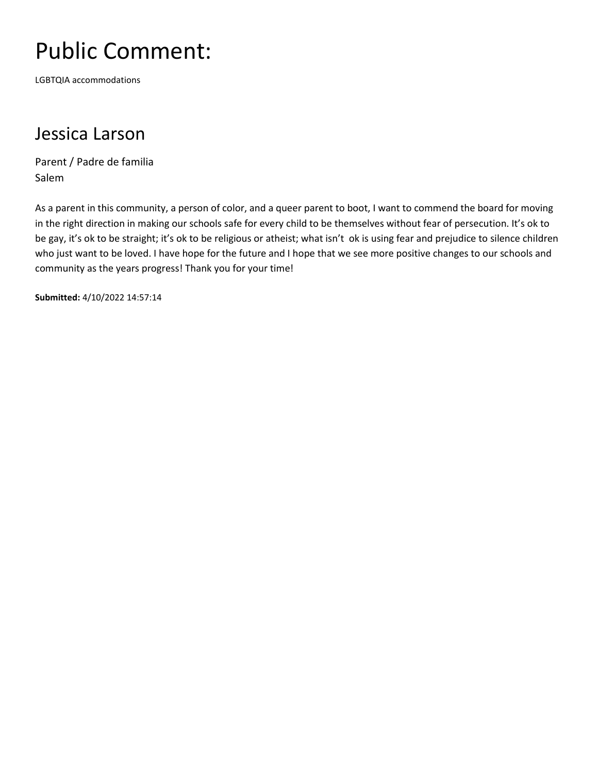LGBTQIA accommodations

#### Jessica Larson

Parent / Padre de familia Salem

As a parent in this community, a person of color, and a queer parent to boot, I want to commend the board for moving in the right direction in making our schools safe for every child to be themselves without fear of persecution. It's ok to be gay, it's ok to be straight; it's ok to be religious or atheist; what isn't ok is using fear and prejudice to silence children who just want to be loved. I have hope for the future and I hope that we see more positive changes to our schools and community as the years progress! Thank you for your time!

**Submitted:** 4/10/2022 14:57:14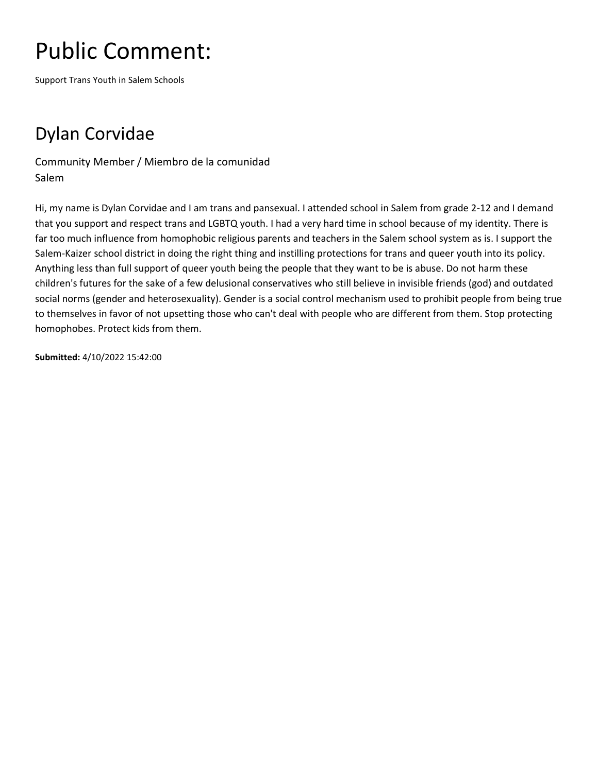Support Trans Youth in Salem Schools

### Dylan Corvidae

Community Member / Miembro de la comunidad Salem

Hi, my name is Dylan Corvidae and I am trans and pansexual. I attended school in Salem from grade 2-12 and I demand that you support and respect trans and LGBTQ youth. I had a very hard time in school because of my identity. There is far too much influence from homophobic religious parents and teachers in the Salem school system as is. I support the Salem-Kaizer school district in doing the right thing and instilling protections for trans and queer youth into its policy. Anything less than full support of queer youth being the people that they want to be is abuse. Do not harm these children's futures for the sake of a few delusional conservatives who still believe in invisible friends (god) and outdated social norms (gender and heterosexuality). Gender is a social control mechanism used to prohibit people from being true to themselves in favor of not upsetting those who can't deal with people who are different from them. Stop protecting homophobes. Protect kids from them.

**Submitted:** 4/10/2022 15:42:00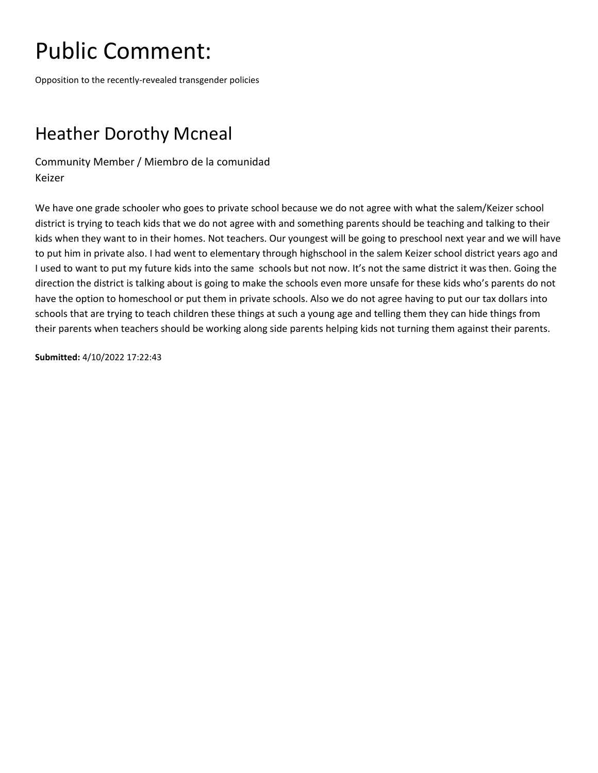Opposition to the recently-revealed transgender policies

### Heather Dorothy Mcneal

Community Member / Miembro de la comunidad Keizer

We have one grade schooler who goes to private school because we do not agree with what the salem/Keizer school district is trying to teach kids that we do not agree with and something parents should be teaching and talking to their kids when they want to in their homes. Not teachers. Our youngest will be going to preschool next year and we will have to put him in private also. I had went to elementary through highschool in the salem Keizer school district years ago and I used to want to put my future kids into the same schools but not now. It's not the same district it was then. Going the direction the district is talking about is going to make the schools even more unsafe for these kids who's parents do not have the option to homeschool or put them in private schools. Also we do not agree having to put our tax dollars into schools that are trying to teach children these things at such a young age and telling them they can hide things from their parents when teachers should be working along side parents helping kids not turning them against their parents.

**Submitted:** 4/10/2022 17:22:43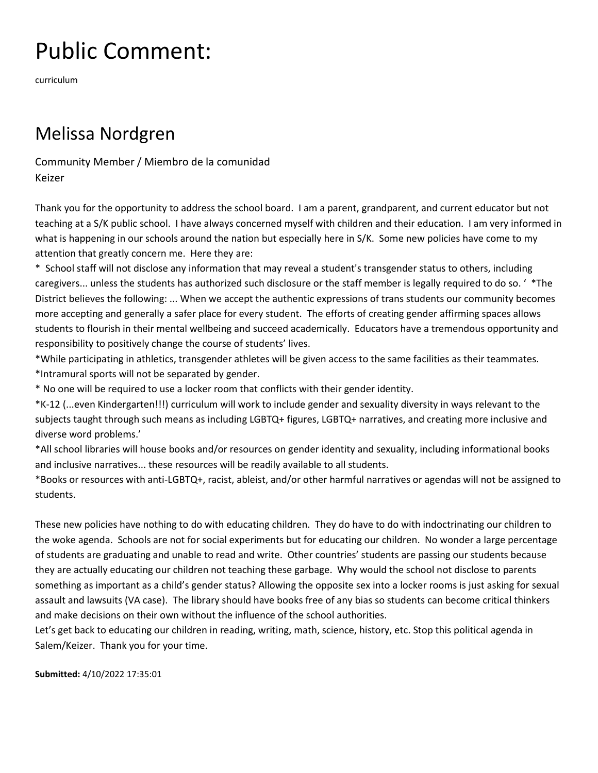curriculum

#### Melissa Nordgren

Community Member / Miembro de la comunidad Keizer

Thank you for the opportunity to address the school board. I am a parent, grandparent, and current educator but not teaching at a S/K public school. I have always concerned myself with children and their education. I am very informed in what is happening in our schools around the nation but especially here in S/K. Some new policies have come to my attention that greatly concern me. Here they are:

\* School staff will not disclose any information that may reveal a student's transgender status to others, including caregivers... unless the students has authorized such disclosure or the staff member is legally required to do so. ' \*The District believes the following: ... When we accept the authentic expressions of trans students our community becomes more accepting and generally a safer place for every student. The efforts of creating gender affirming spaces allows students to flourish in their mental wellbeing and succeed academically. Educators have a tremendous opportunity and responsibility to positively change the course of students' lives.

\*While participating in athletics, transgender athletes will be given access to the same facilities as their teammates. \*Intramural sports will not be separated by gender.

\* No one will be required to use a locker room that conflicts with their gender identity.

\*K-12 (...even Kindergarten!!!) curriculum will work to include gender and sexuality diversity in ways relevant to the subjects taught through such means as including LGBTQ+ figures, LGBTQ+ narratives, and creating more inclusive and diverse word problems.'

\*All school libraries will house books and/or resources on gender identity and sexuality, including informational books and inclusive narratives... these resources will be readily available to all students.

\*Books or resources with anti-LGBTQ+, racist, ableist, and/or other harmful narratives or agendas will not be assigned to students.

These new policies have nothing to do with educating children. They do have to do with indoctrinating our children to the woke agenda. Schools are not for social experiments but for educating our children. No wonder a large percentage of students are graduating and unable to read and write. Other countries' students are passing our students because they are actually educating our children not teaching these garbage. Why would the school not disclose to parents something as important as a child's gender status? Allowing the opposite sex into a locker rooms is just asking for sexual assault and lawsuits (VA case). The library should have books free of any bias so students can become critical thinkers and make decisions on their own without the influence of the school authorities.

Let's get back to educating our children in reading, writing, math, science, history, etc. Stop this political agenda in Salem/Keizer. Thank you for your time.

**Submitted:** 4/10/2022 17:35:01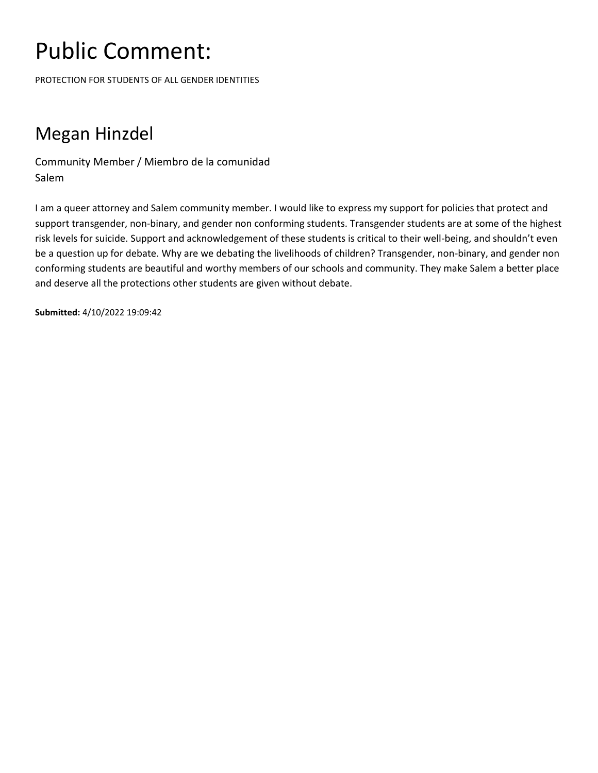PROTECTION FOR STUDENTS OF ALL GENDER IDENTITIES

### Megan Hinzdel

Community Member / Miembro de la comunidad Salem

I am a queer attorney and Salem community member. I would like to express my support for policies that protect and support transgender, non-binary, and gender non conforming students. Transgender students are at some of the highest risk levels for suicide. Support and acknowledgement of these students is critical to their well-being, and shouldn't even be a question up for debate. Why are we debating the livelihoods of children? Transgender, non-binary, and gender non conforming students are beautiful and worthy members of our schools and community. They make Salem a better place and deserve all the protections other students are given without debate.

**Submitted:** 4/10/2022 19:09:42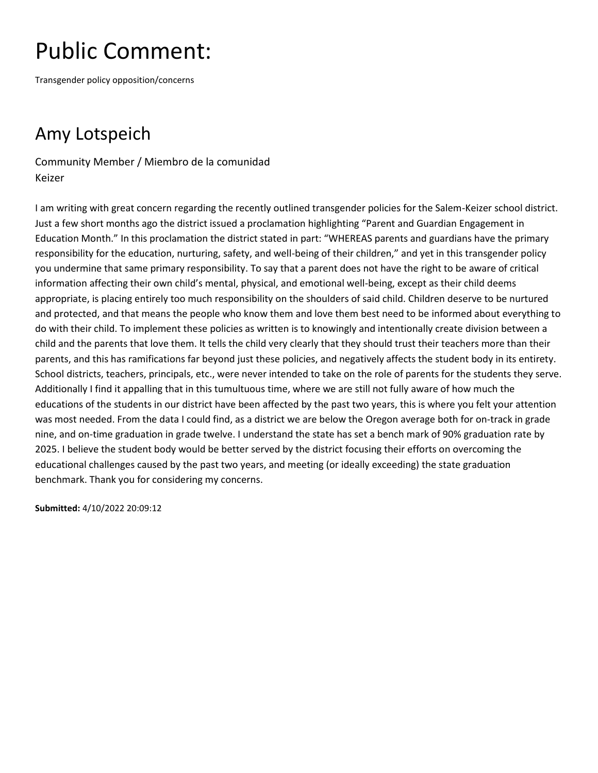Transgender policy opposition/concerns

### Amy Lotspeich

Community Member / Miembro de la comunidad Keizer

I am writing with great concern regarding the recently outlined transgender policies for the Salem-Keizer school district. Just a few short months ago the district issued a proclamation highlighting "Parent and Guardian Engagement in Education Month." In this proclamation the district stated in part: "WHEREAS parents and guardians have the primary responsibility for the education, nurturing, safety, and well-being of their children," and yet in this transgender policy you undermine that same primary responsibility. To say that a parent does not have the right to be aware of critical information affecting their own child's mental, physical, and emotional well-being, except as their child deems appropriate, is placing entirely too much responsibility on the shoulders of said child. Children deserve to be nurtured and protected, and that means the people who know them and love them best need to be informed about everything to do with their child. To implement these policies as written is to knowingly and intentionally create division between a child and the parents that love them. It tells the child very clearly that they should trust their teachers more than their parents, and this has ramifications far beyond just these policies, and negatively affects the student body in its entirety. School districts, teachers, principals, etc., were never intended to take on the role of parents for the students they serve. Additionally I find it appalling that in this tumultuous time, where we are still not fully aware of how much the educations of the students in our district have been affected by the past two years, this is where you felt your attention was most needed. From the data I could find, as a district we are below the Oregon average both for on-track in grade nine, and on-time graduation in grade twelve. I understand the state has set a bench mark of 90% graduation rate by 2025. I believe the student body would be better served by the district focusing their efforts on overcoming the educational challenges caused by the past two years, and meeting (or ideally exceeding) the state graduation benchmark. Thank you for considering my concerns.

**Submitted:** 4/10/2022 20:09:12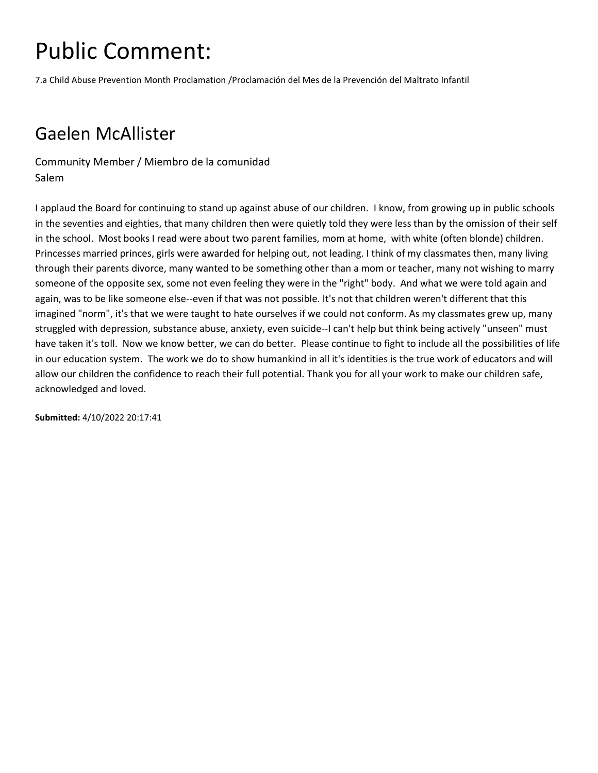7.a Child Abuse Prevention Month Proclamation /Proclamación del Mes de la Prevención del Maltrato Infantil

#### Gaelen McAllister

Community Member / Miembro de la comunidad Salem

I applaud the Board for continuing to stand up against abuse of our children. I know, from growing up in public schools in the seventies and eighties, that many children then were quietly told they were less than by the omission of their self in the school. Most books I read were about two parent families, mom at home, with white (often blonde) children. Princesses married princes, girls were awarded for helping out, not leading. I think of my classmates then, many living through their parents divorce, many wanted to be something other than a mom or teacher, many not wishing to marry someone of the opposite sex, some not even feeling they were in the "right" body. And what we were told again and again, was to be like someone else--even if that was not possible. It's not that children weren't different that this imagined "norm", it's that we were taught to hate ourselves if we could not conform. As my classmates grew up, many struggled with depression, substance abuse, anxiety, even suicide--I can't help but think being actively "unseen" must have taken it's toll. Now we know better, we can do better. Please continue to fight to include all the possibilities of life in our education system. The work we do to show humankind in all it's identities is the true work of educators and will allow our children the confidence to reach their full potential. Thank you for all your work to make our children safe, acknowledged and loved.

**Submitted:** 4/10/2022 20:17:41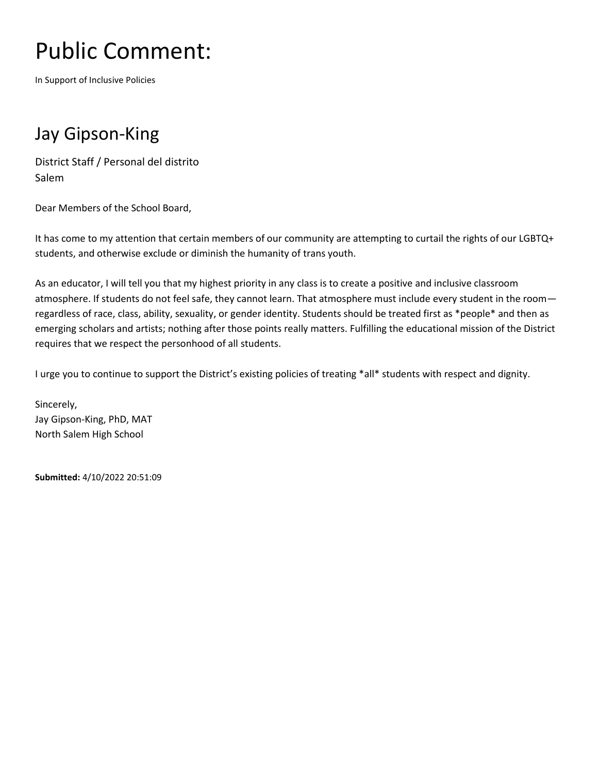In Support of Inclusive Policies

#### Jay Gipson-King

District Staff / Personal del distrito Salem

Dear Members of the School Board,

It has come to my attention that certain members of our community are attempting to curtail the rights of our LGBTQ+ students, and otherwise exclude or diminish the humanity of trans youth.

As an educator, I will tell you that my highest priority in any class is to create a positive and inclusive classroom atmosphere. If students do not feel safe, they cannot learn. That atmosphere must include every student in the room regardless of race, class, ability, sexuality, or gender identity. Students should be treated first as \*people\* and then as emerging scholars and artists; nothing after those points really matters. Fulfilling the educational mission of the District requires that we respect the personhood of all students.

I urge you to continue to support the District's existing policies of treating \*all\* students with respect and dignity.

Sincerely, Jay Gipson-King, PhD, MAT North Salem High School

**Submitted:** 4/10/2022 20:51:09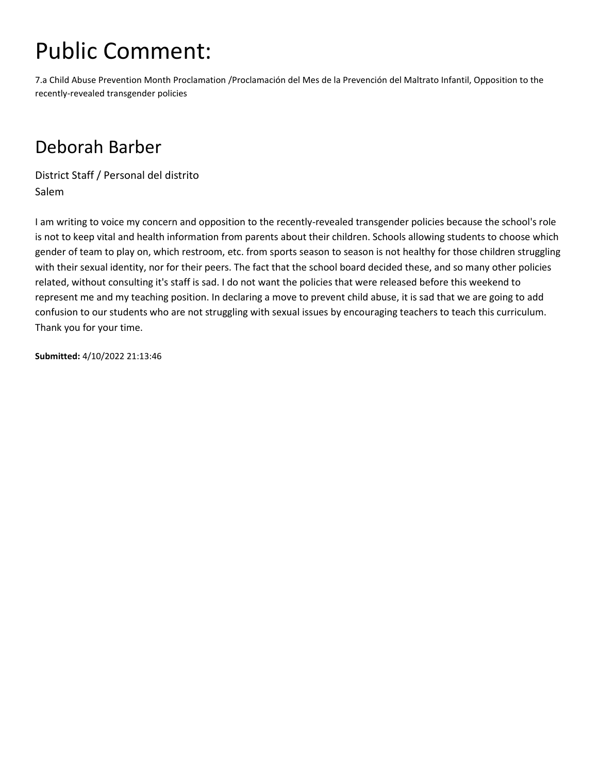7.a Child Abuse Prevention Month Proclamation /Proclamación del Mes de la Prevención del Maltrato Infantil, Opposition to the recently-revealed transgender policies

#### Deborah Barber

District Staff / Personal del distrito Salem

I am writing to voice my concern and opposition to the recently-revealed transgender policies because the school's role is not to keep vital and health information from parents about their children. Schools allowing students to choose which gender of team to play on, which restroom, etc. from sports season to season is not healthy for those children struggling with their sexual identity, nor for their peers. The fact that the school board decided these, and so many other policies related, without consulting it's staff is sad. I do not want the policies that were released before this weekend to represent me and my teaching position. In declaring a move to prevent child abuse, it is sad that we are going to add confusion to our students who are not struggling with sexual issues by encouraging teachers to teach this curriculum. Thank you for your time.

**Submitted:** 4/10/2022 21:13:46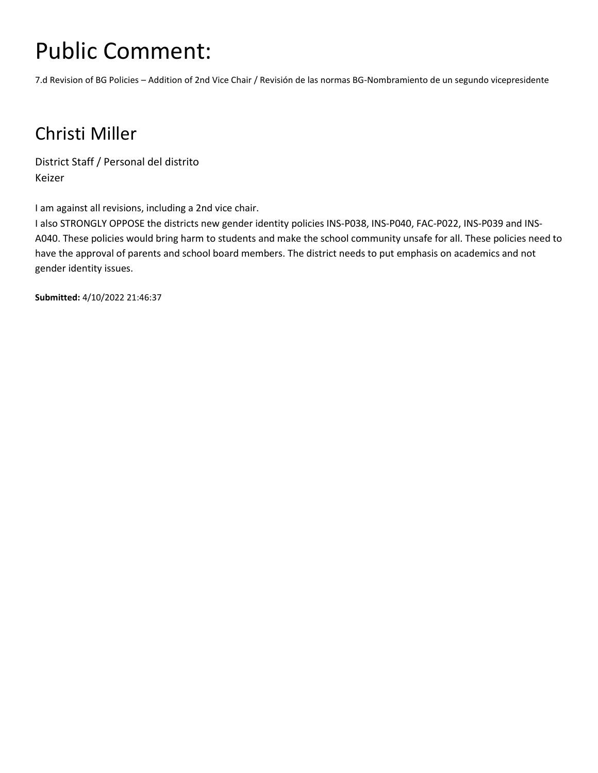7.d Revision of BG Policies – Addition of 2nd Vice Chair / Revisión de las normas BG-Nombramiento de un segundo vicepresidente

### Christi Miller

District Staff / Personal del distrito Keizer

I am against all revisions, including a 2nd vice chair.

I also STRONGLY OPPOSE the districts new gender identity policies INS-P038, INS-P040, FAC-P022, INS-P039 and INS-A040. These policies would bring harm to students and make the school community unsafe for all. These policies need to have the approval of parents and school board members. The district needs to put emphasis on academics and not gender identity issues.

**Submitted:** 4/10/2022 21:46:37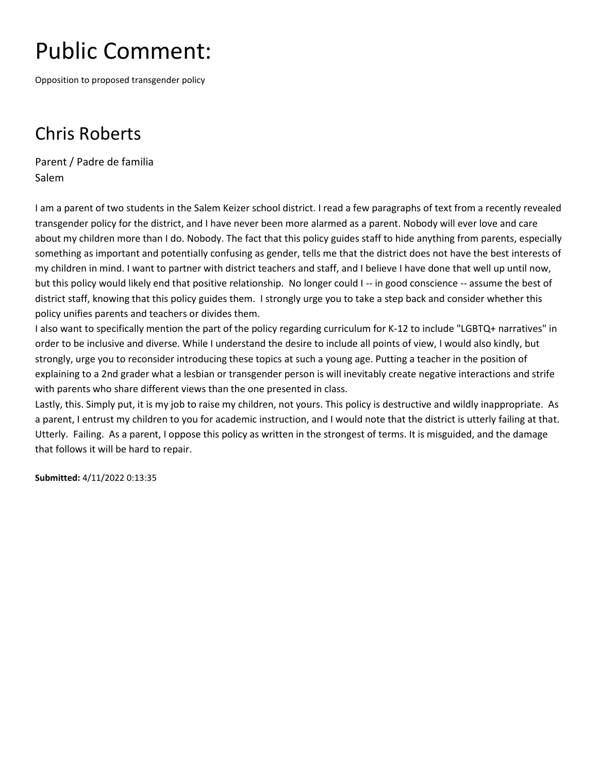Opposition to proposed transgender policy

### Chris Roberts

Parent / Padre de familia Salem

I am a parent of two students in the Salem Keizer school district. I read a few paragraphs of text from a recently revealed transgender policy for the district, and I have never been more alarmed as a parent. Nobody will ever love and care about my children more than I do. Nobody. The fact that this policy guides staff to hide anything from parents, especially something as important and potentially confusing as gender, tells me that the district does not have the best interests of my children in mind. I want to partner with district teachers and staff, and I believe I have done that well up until now, but this policy would likely end that positive relationship. No longer could I -- in good conscience -- assume the best of district staff, knowing that this policy guides them. I strongly urge you to take a step back and consider whether this policy unifies parents and teachers or divides them.

I also want to specifically mention the part of the policy regarding curriculum for K-12 to include "LGBTQ+ narratives" in order to be inclusive and diverse. While I understand the desire to include all points of view, I would also kindly, but strongly, urge you to reconsider introducing these topics at such a young age. Putting a teacher in the position of explaining to a 2nd grader what a lesbian or transgender person is will inevitably create negative interactions and strife with parents who share different views than the one presented in class.

Lastly, this. Simply put, it is my job to raise my children, not yours. This policy is destructive and wildly inappropriate. As a parent, I entrust my children to you for academic instruction, and I would note that the district is utterly failing at that. Utterly. Failing. As a parent, I oppose this policy as written in the strongest of terms. It is misguided, and the damage that follows it will be hard to repair.

**Submitted:** 4/11/2022 0:13:35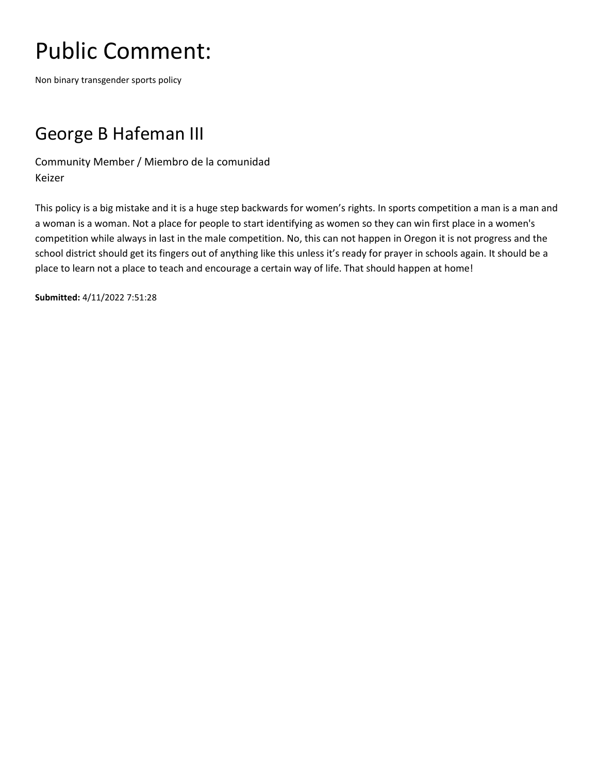Non binary transgender sports policy

### George B Hafeman III

Community Member / Miembro de la comunidad Keizer

This policy is a big mistake and it is a huge step backwards for women's rights. In sports competition a man is a man and a woman is a woman. Not a place for people to start identifying as women so they can win first place in a women's competition while always in last in the male competition. No, this can not happen in Oregon it is not progress and the school district should get its fingers out of anything like this unless it's ready for prayer in schools again. It should be a place to learn not a place to teach and encourage a certain way of life. That should happen at home!

**Submitted:** 4/11/2022 7:51:28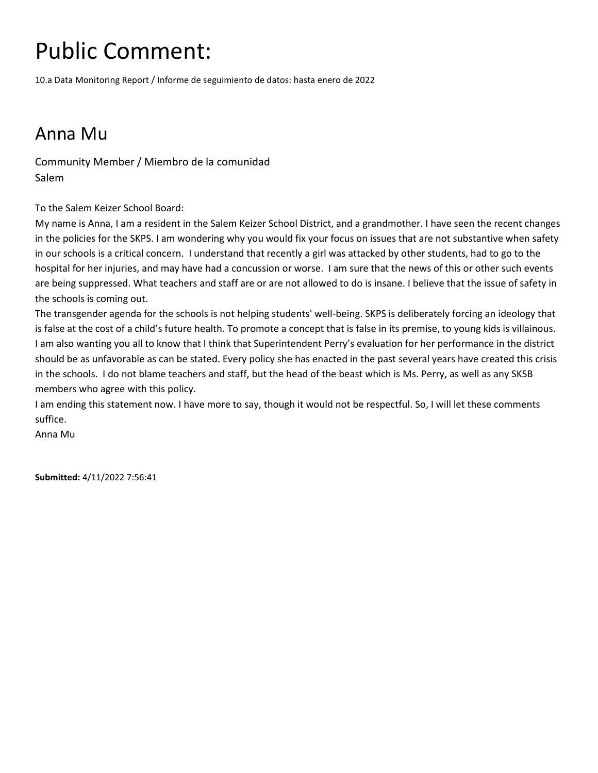10.a Data Monitoring Report / Informe de seguimiento de datos: hasta enero de 2022

#### Anna Mu

Community Member / Miembro de la comunidad Salem

To the Salem Keizer School Board:

My name is Anna, I am a resident in the Salem Keizer School District, and a grandmother. I have seen the recent changes in the policies for the SKPS. I am wondering why you would fix your focus on issues that are not substantive when safety in our schools is a critical concern. I understand that recently a girl was attacked by other students, had to go to the hospital for her injuries, and may have had a concussion or worse. I am sure that the news of this or other such events are being suppressed. What teachers and staff are or are not allowed to do is insane. I believe that the issue of safety in the schools is coming out.

The transgender agenda for the schools is not helping students' well-being. SKPS is deliberately forcing an ideology that is false at the cost of a child's future health. To promote a concept that is false in its premise, to young kids is villainous. I am also wanting you all to know that I think that Superintendent Perry's evaluation for her performance in the district should be as unfavorable as can be stated. Every policy she has enacted in the past several years have created this crisis in the schools. I do not blame teachers and staff, but the head of the beast which is Ms. Perry, as well as any SKSB members who agree with this policy.

I am ending this statement now. I have more to say, though it would not be respectful. So, I will let these comments suffice.

Anna Mu

**Submitted:** 4/11/2022 7:56:41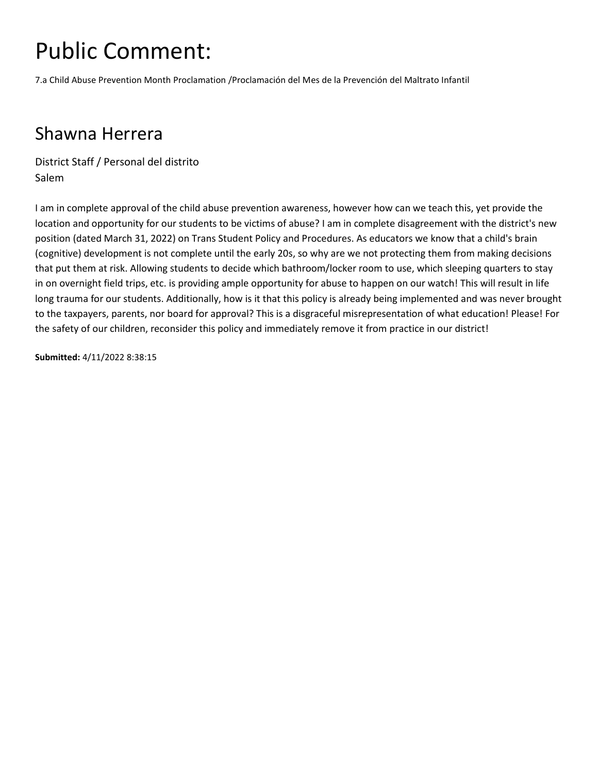7.a Child Abuse Prevention Month Proclamation /Proclamación del Mes de la Prevención del Maltrato Infantil

#### Shawna Herrera

District Staff / Personal del distrito Salem

I am in complete approval of the child abuse prevention awareness, however how can we teach this, yet provide the location and opportunity for our students to be victims of abuse? I am in complete disagreement with the district's new position (dated March 31, 2022) on Trans Student Policy and Procedures. As educators we know that a child's brain (cognitive) development is not complete until the early 20s, so why are we not protecting them from making decisions that put them at risk. Allowing students to decide which bathroom/locker room to use, which sleeping quarters to stay in on overnight field trips, etc. is providing ample opportunity for abuse to happen on our watch! This will result in life long trauma for our students. Additionally, how is it that this policy is already being implemented and was never brought to the taxpayers, parents, nor board for approval? This is a disgraceful misrepresentation of what education! Please! For the safety of our children, reconsider this policy and immediately remove it from practice in our district!

**Submitted:** 4/11/2022 8:38:15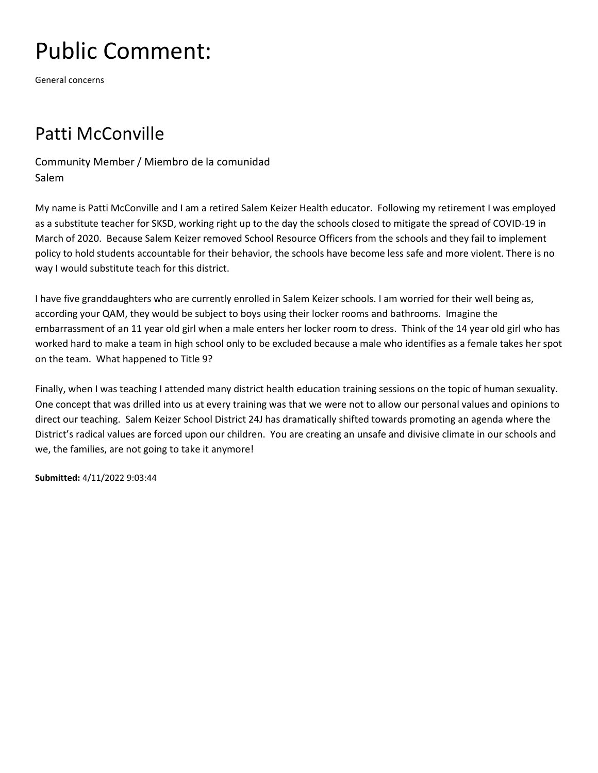General concerns

#### Patti McConville

Community Member / Miembro de la comunidad Salem

My name is Patti McConville and I am a retired Salem Keizer Health educator. Following my retirement I was employed as a substitute teacher for SKSD, working right up to the day the schools closed to mitigate the spread of COVID-19 in March of 2020. Because Salem Keizer removed School Resource Officers from the schools and they fail to implement policy to hold students accountable for their behavior, the schools have become less safe and more violent. There is no way I would substitute teach for this district.

I have five granddaughters who are currently enrolled in Salem Keizer schools. I am worried for their well being as, according your QAM, they would be subject to boys using their locker rooms and bathrooms. Imagine the embarrassment of an 11 year old girl when a male enters her locker room to dress. Think of the 14 year old girl who has worked hard to make a team in high school only to be excluded because a male who identifies as a female takes her spot on the team. What happened to Title 9?

Finally, when I was teaching I attended many district health education training sessions on the topic of human sexuality. One concept that was drilled into us at every training was that we were not to allow our personal values and opinions to direct our teaching. Salem Keizer School District 24J has dramatically shifted towards promoting an agenda where the District's radical values are forced upon our children. You are creating an unsafe and divisive climate in our schools and we, the families, are not going to take it anymore!

**Submitted:** 4/11/2022 9:03:44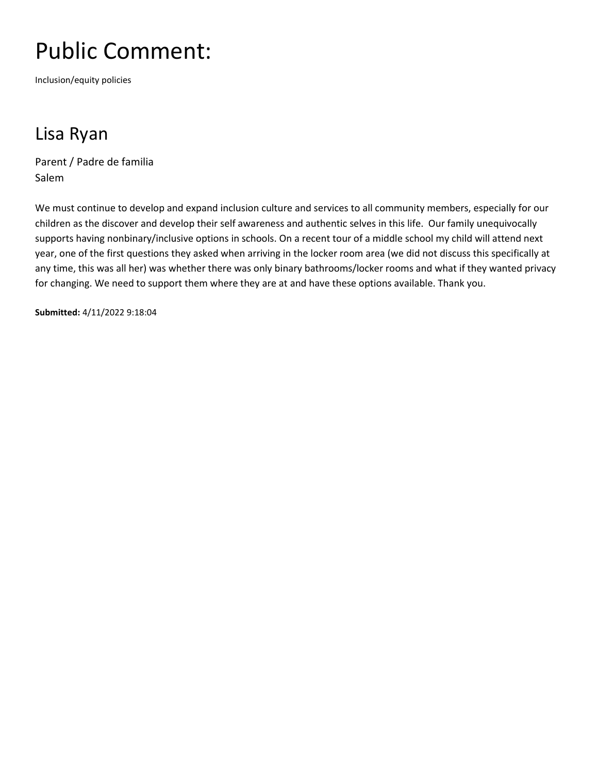Inclusion/equity policies

### Lisa Ryan

Parent / Padre de familia Salem

We must continue to develop and expand inclusion culture and services to all community members, especially for our children as the discover and develop their self awareness and authentic selves in this life. Our family unequivocally supports having nonbinary/inclusive options in schools. On a recent tour of a middle school my child will attend next year, one of the first questions they asked when arriving in the locker room area (we did not discuss this specifically at any time, this was all her) was whether there was only binary bathrooms/locker rooms and what if they wanted privacy for changing. We need to support them where they are at and have these options available. Thank you.

**Submitted:** 4/11/2022 9:18:04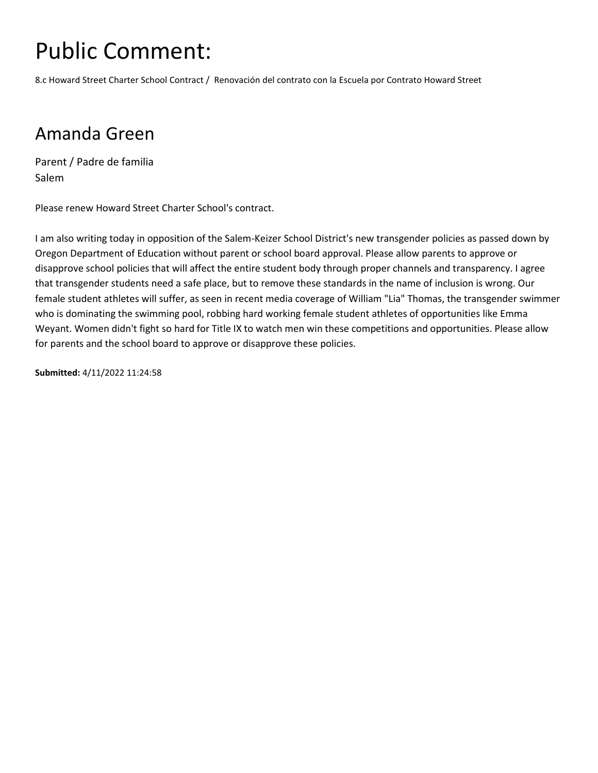8.c Howard Street Charter School Contract / Renovación del contrato con la Escuela por Contrato Howard Street

#### Amanda Green

Parent / Padre de familia Salem

Please renew Howard Street Charter School's contract.

I am also writing today in opposition of the Salem-Keizer School District's new transgender policies as passed down by Oregon Department of Education without parent or school board approval. Please allow parents to approve or disapprove school policies that will affect the entire student body through proper channels and transparency. I agree that transgender students need a safe place, but to remove these standards in the name of inclusion is wrong. Our female student athletes will suffer, as seen in recent media coverage of William "Lia" Thomas, the transgender swimmer who is dominating the swimming pool, robbing hard working female student athletes of opportunities like Emma Weyant. Women didn't fight so hard for Title IX to watch men win these competitions and opportunities. Please allow for parents and the school board to approve or disapprove these policies.

**Submitted:** 4/11/2022 11:24:58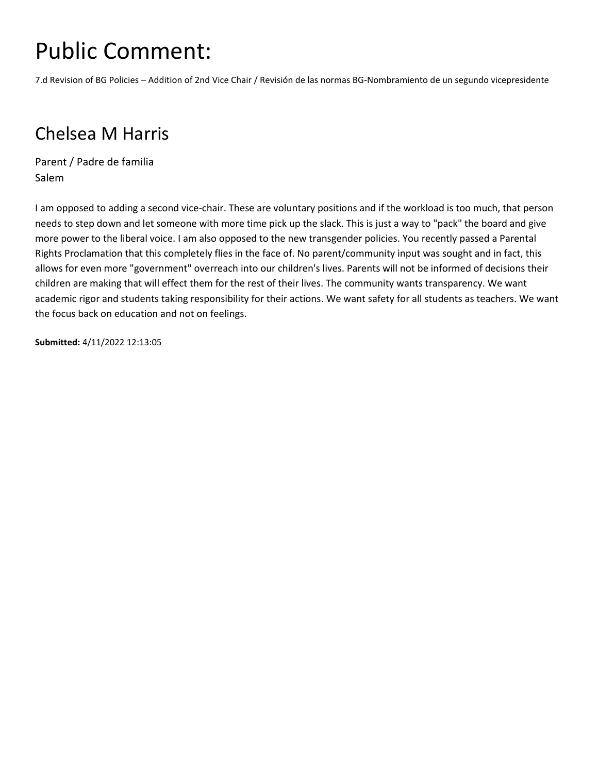7.d Revision of BG Policies – Addition of 2nd Vice Chair / Revisión de las normas BG-Nombramiento de un segundo vicepresidente

### Chelsea M Harris

Parent / Padre de familia Salem

I am opposed to adding a second vice-chair. These are voluntary positions and if the workload is too much, that person needs to step down and let someone with more time pick up the slack. This is just a way to "pack" the board and give more power to the liberal voice. I am also opposed to the new transgender policies. You recently passed a Parental Rights Proclamation that this completely flies in the face of. No parent/community input was sought and in fact, this allows for even more "government" overreach into our children's lives. Parents will not be informed of decisions their children are making that will effect them for the rest of their lives. The community wants transparency. We want academic rigor and students taking responsibility for their actions. We want safety for all students as teachers. We want the focus back on education and not on feelings.

**Submitted:** 4/11/2022 12:13:05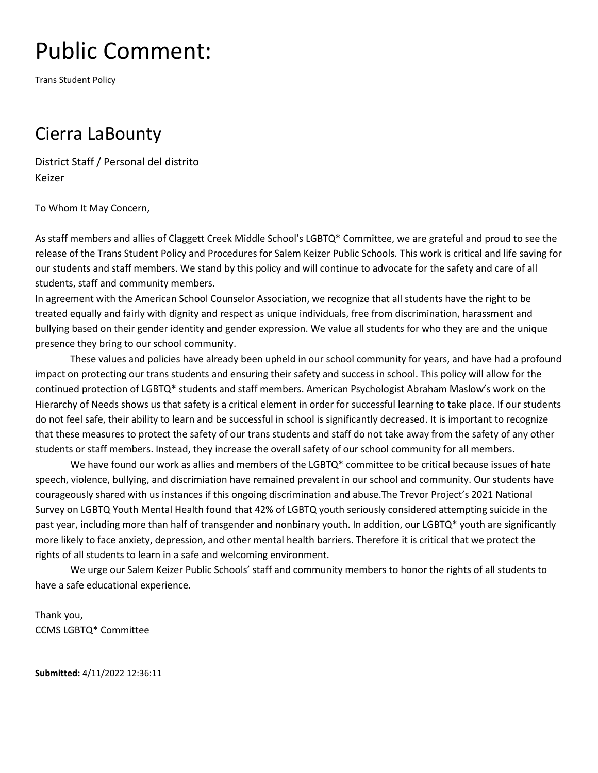Trans Student Policy

#### Cierra LaBounty

District Staff / Personal del distrito Keizer

To Whom It May Concern,

As staff members and allies of Claggett Creek Middle School's LGBTQ\* Committee, we are grateful and proud to see the release of the Trans Student Policy and Procedures for Salem Keizer Public Schools. This work is critical and life saving for our students and staff members. We stand by this policy and will continue to advocate for the safety and care of all students, staff and community members.

In agreement with the American School Counselor Association, we recognize that all students have the right to be treated equally and fairly with dignity and respect as unique individuals, free from discrimination, harassment and bullying based on their gender identity and gender expression. We value all students for who they are and the unique presence they bring to our school community.

These values and policies have already been upheld in our school community for years, and have had a profound impact on protecting our trans students and ensuring their safety and success in school. This policy will allow for the continued protection of LGBTQ\* students and staff members. American Psychologist Abraham Maslow's work on the Hierarchy of Needs shows us that safety is a critical element in order for successful learning to take place. If our students do not feel safe, their ability to learn and be successful in school is significantly decreased. It is important to recognize that these measures to protect the safety of our trans students and staff do not take away from the safety of any other students or staff members. Instead, they increase the overall safety of our school community for all members.

We have found our work as allies and members of the LGBTQ\* committee to be critical because issues of hate speech, violence, bullying, and discrimiation have remained prevalent in our school and community. Our students have courageously shared with us instances if this ongoing discrimination and abuse.The Trevor Project's 2021 National Survey on LGBTQ Youth Mental Health found that 42% of LGBTQ youth seriously considered attempting suicide in the past year, including more than half of transgender and nonbinary youth. In addition, our LGBTQ\* youth are significantly more likely to face anxiety, depression, and other mental health barriers. Therefore it is critical that we protect the rights of all students to learn in a safe and welcoming environment.

We urge our Salem Keizer Public Schools' staff and community members to honor the rights of all students to have a safe educational experience.

Thank you, CCMS LGBTQ\* Committee

**Submitted:** 4/11/2022 12:36:11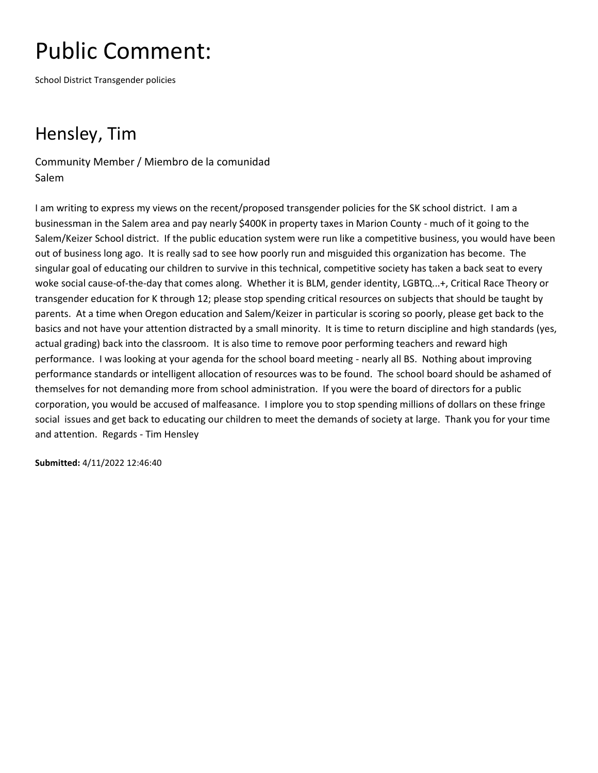School District Transgender policies

### Hensley, Tim

Community Member / Miembro de la comunidad Salem

I am writing to express my views on the recent/proposed transgender policies for the SK school district. I am a businessman in the Salem area and pay nearly \$400K in property taxes in Marion County - much of it going to the Salem/Keizer School district. If the public education system were run like a competitive business, you would have been out of business long ago. It is really sad to see how poorly run and misguided this organization has become. The singular goal of educating our children to survive in this technical, competitive society has taken a back seat to every woke social cause-of-the-day that comes along. Whether it is BLM, gender identity, LGBTQ...+, Critical Race Theory or transgender education for K through 12; please stop spending critical resources on subjects that should be taught by parents. At a time when Oregon education and Salem/Keizer in particular is scoring so poorly, please get back to the basics and not have your attention distracted by a small minority. It is time to return discipline and high standards (yes, actual grading) back into the classroom. It is also time to remove poor performing teachers and reward high performance. I was looking at your agenda for the school board meeting - nearly all BS. Nothing about improving performance standards or intelligent allocation of resources was to be found. The school board should be ashamed of themselves for not demanding more from school administration. If you were the board of directors for a public corporation, you would be accused of malfeasance. I implore you to stop spending millions of dollars on these fringe social issues and get back to educating our children to meet the demands of society at large. Thank you for your time and attention. Regards - Tim Hensley

**Submitted:** 4/11/2022 12:46:40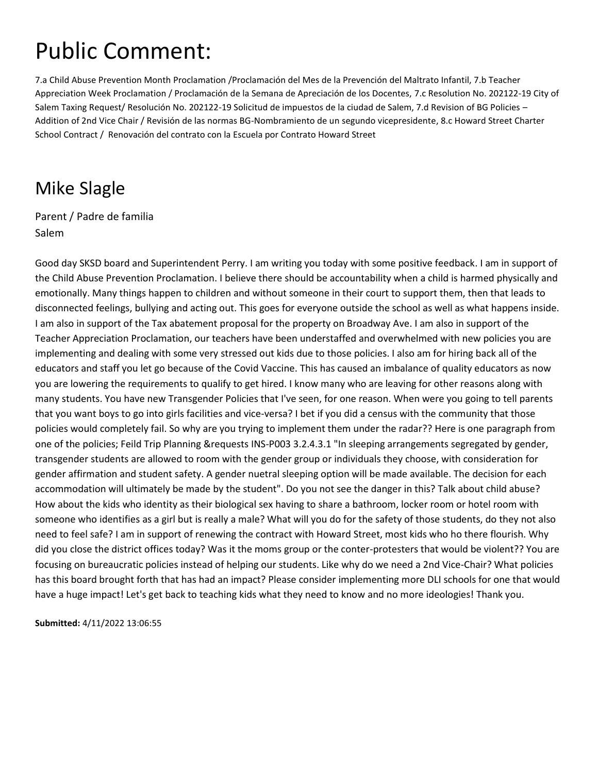7.a Child Abuse Prevention Month Proclamation /Proclamación del Mes de la Prevención del Maltrato Infantil, 7.b Teacher Appreciation Week Proclamation / Proclamación de la Semana de Apreciación de los Docentes, 7.c Resolution No. 202122-19 City of Salem Taxing Request/ Resolución No. 202122-19 Solicitud de impuestos de la ciudad de Salem, 7.d Revision of BG Policies – Addition of 2nd Vice Chair / Revisión de las normas BG-Nombramiento de un segundo vicepresidente, 8.c Howard Street Charter School Contract / Renovación del contrato con la Escuela por Contrato Howard Street

#### Mike Slagle

Parent / Padre de familia Salem

Good day SKSD board and Superintendent Perry. I am writing you today with some positive feedback. I am in support of the Child Abuse Prevention Proclamation. I believe there should be accountability when a child is harmed physically and emotionally. Many things happen to children and without someone in their court to support them, then that leads to disconnected feelings, bullying and acting out. This goes for everyone outside the school as well as what happens inside. I am also in support of the Tax abatement proposal for the property on Broadway Ave. I am also in support of the Teacher Appreciation Proclamation, our teachers have been understaffed and overwhelmed with new policies you are implementing and dealing with some very stressed out kids due to those policies. I also am for hiring back all of the educators and staff you let go because of the Covid Vaccine. This has caused an imbalance of quality educators as now you are lowering the requirements to qualify to get hired. I know many who are leaving for other reasons along with many students. You have new Transgender Policies that I've seen, for one reason. When were you going to tell parents that you want boys to go into girls facilities and vice-versa? I bet if you did a census with the community that those policies would completely fail. So why are you trying to implement them under the radar?? Here is one paragraph from one of the policies; Feild Trip Planning &requests INS-P003 3.2.4.3.1 "In sleeping arrangements segregated by gender, transgender students are allowed to room with the gender group or individuals they choose, with consideration for gender affirmation and student safety. A gender nuetral sleeping option will be made available. The decision for each accommodation will ultimately be made by the student". Do you not see the danger in this? Talk about child abuse? How about the kids who identity as their biological sex having to share a bathroom, locker room or hotel room with someone who identifies as a girl but is really a male? What will you do for the safety of those students, do they not also need to feel safe? I am in support of renewing the contract with Howard Street, most kids who ho there flourish. Why did you close the district offices today? Was it the moms group or the conter-protesters that would be violent?? You are focusing on bureaucratic policies instead of helping our students. Like why do we need a 2nd Vice-Chair? What policies has this board brought forth that has had an impact? Please consider implementing more DLI schools for one that would have a huge impact! Let's get back to teaching kids what they need to know and no more ideologies! Thank you.

**Submitted:** 4/11/2022 13:06:55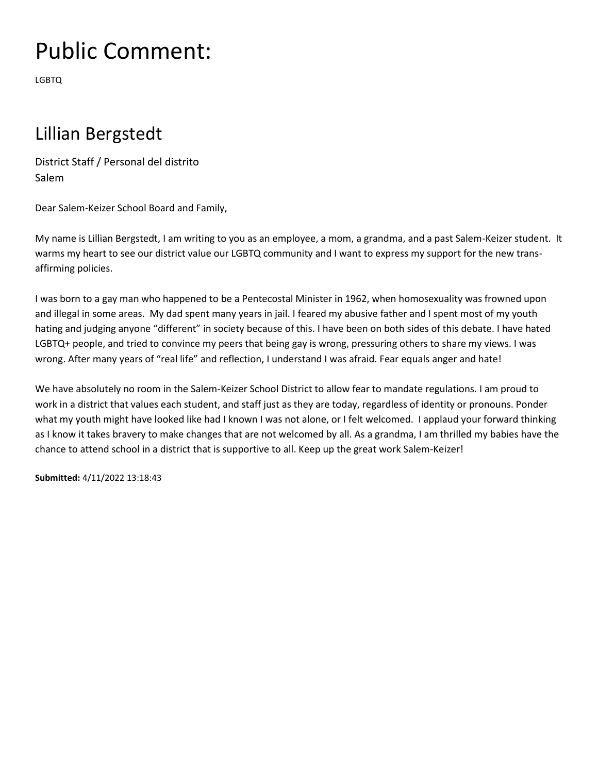LGBTQ

#### Lillian Bergstedt

District Staff / Personal del distrito Salem

Dear Salem-Keizer School Board and Family,

My name is Lillian Bergstedt, I am writing to you as an employee, a mom, a grandma, and a past Salem-Keizer student. It warms my heart to see our district value our LGBTQ community and I want to express my support for the new transaffirming policies.

I was born to a gay man who happened to be a Pentecostal Minister in 1962, when homosexuality was frowned upon and illegal in some areas. My dad spent many years in jail. I feared my abusive father and I spent most of my youth hating and judging anyone "different" in society because of this. I have been on both sides of this debate. I have hated LGBTQ+ people, and tried to convince my peers that being gay is wrong, pressuring others to share my views. I was wrong. After many years of "real life" and reflection, I understand I was afraid. Fear equals anger and hate!

We have absolutely no room in the Salem-Keizer School District to allow fear to mandate regulations. I am proud to work in a district that values each student, and staff just as they are today, regardless of identity or pronouns. Ponder what my youth might have looked like had I known I was not alone, or I felt welcomed. I applaud your forward thinking as I know it takes bravery to make changes that are not welcomed by all. As a grandma, I am thrilled my babies have the chance to attend school in a district that is supportive to all. Keep up the great work Salem-Keizer!

**Submitted:** 4/11/2022 13:18:43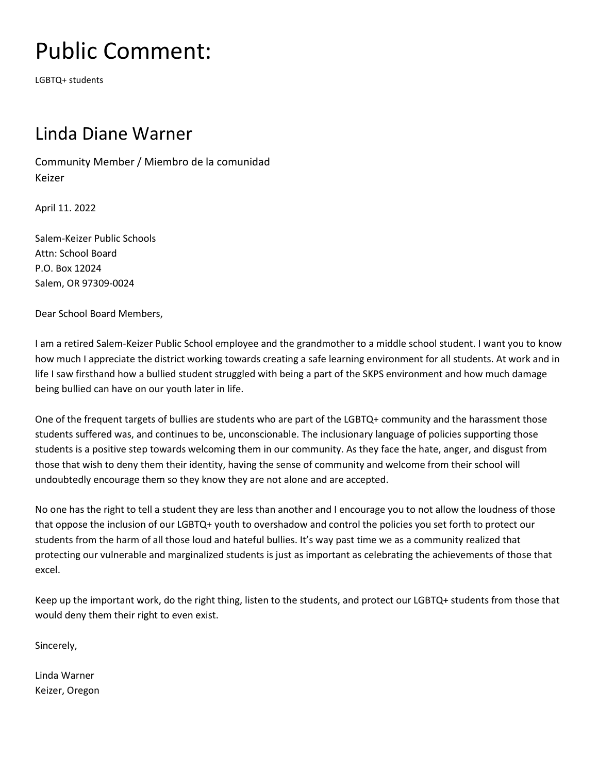LGBTQ+ students

#### Linda Diane Warner

Community Member / Miembro de la comunidad Keizer

April 11. 2022

Salem-Keizer Public Schools Attn: School Board P.O. Box 12024 Salem, OR 97309-0024

Dear School Board Members,

I am a retired Salem-Keizer Public School employee and the grandmother to a middle school student. I want you to know how much I appreciate the district working towards creating a safe learning environment for all students. At work and in life I saw firsthand how a bullied student struggled with being a part of the SKPS environment and how much damage being bullied can have on our youth later in life.

One of the frequent targets of bullies are students who are part of the LGBTQ+ community and the harassment those students suffered was, and continues to be, unconscionable. The inclusionary language of policies supporting those students is a positive step towards welcoming them in our community. As they face the hate, anger, and disgust from those that wish to deny them their identity, having the sense of community and welcome from their school will undoubtedly encourage them so they know they are not alone and are accepted.

No one has the right to tell a student they are less than another and I encourage you to not allow the loudness of those that oppose the inclusion of our LGBTQ+ youth to overshadow and control the policies you set forth to protect our students from the harm of all those loud and hateful bullies. It's way past time we as a community realized that protecting our vulnerable and marginalized students is just as important as celebrating the achievements of those that excel.

Keep up the important work, do the right thing, listen to the students, and protect our LGBTQ+ students from those that would deny them their right to even exist.

Sincerely,

Linda Warner Keizer, Oregon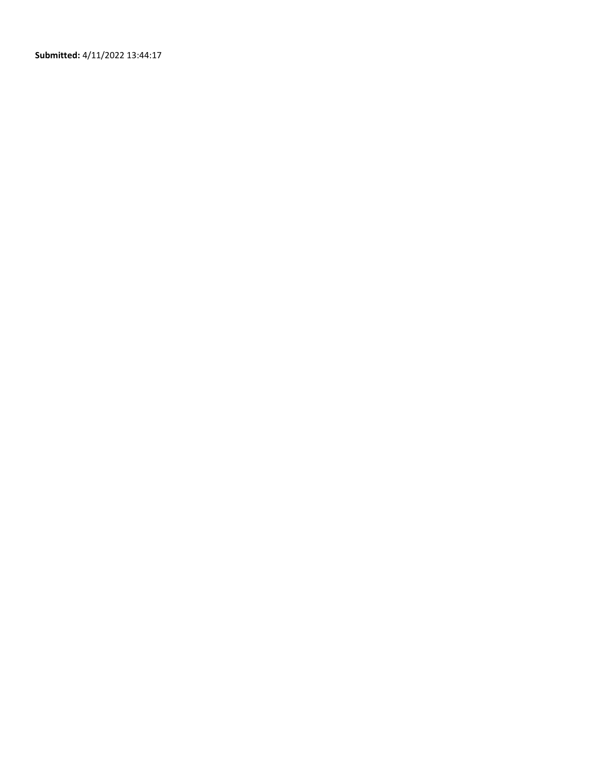**Submitted:** 4/11/2022 13:44:17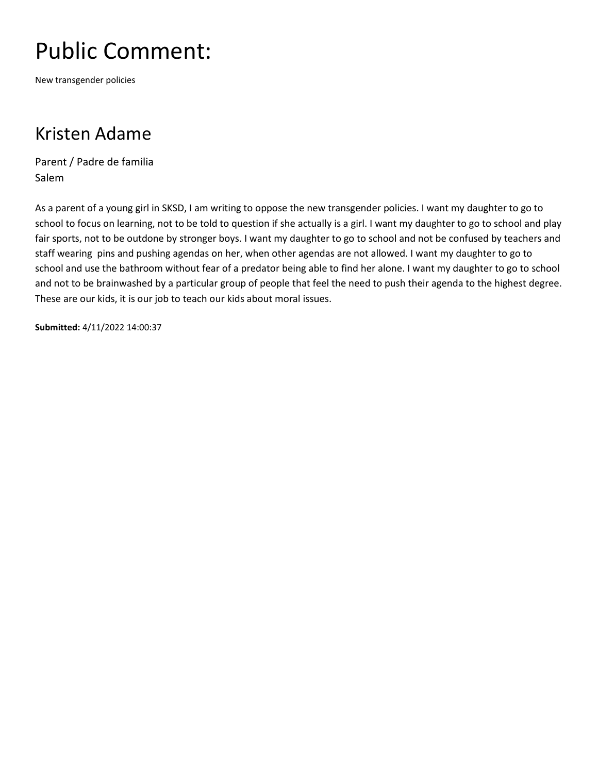New transgender policies

#### Kristen Adame

Parent / Padre de familia Salem

As a parent of a young girl in SKSD, I am writing to oppose the new transgender policies. I want my daughter to go to school to focus on learning, not to be told to question if she actually is a girl. I want my daughter to go to school and play fair sports, not to be outdone by stronger boys. I want my daughter to go to school and not be confused by teachers and staff wearing pins and pushing agendas on her, when other agendas are not allowed. I want my daughter to go to school and use the bathroom without fear of a predator being able to find her alone. I want my daughter to go to school and not to be brainwashed by a particular group of people that feel the need to push their agenda to the highest degree. These are our kids, it is our job to teach our kids about moral issues.

**Submitted:** 4/11/2022 14:00:37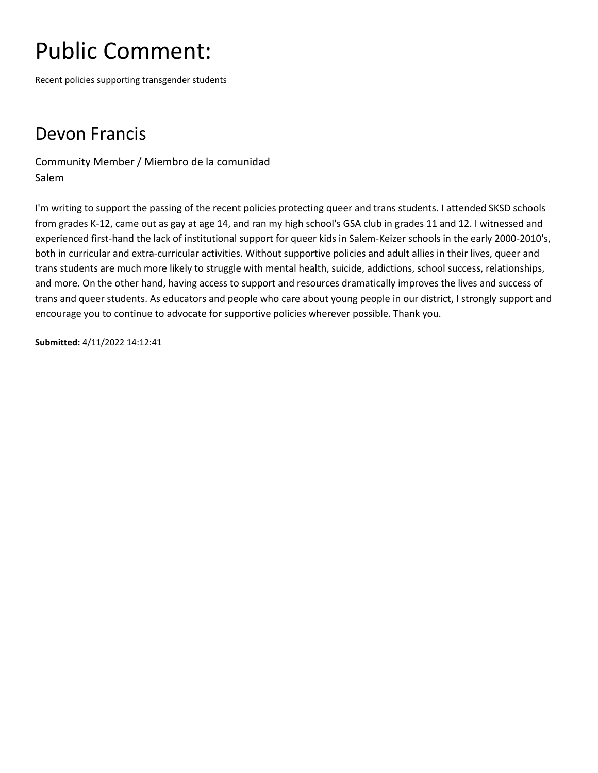Recent policies supporting transgender students

### Devon Francis

Community Member / Miembro de la comunidad Salem

I'm writing to support the passing of the recent policies protecting queer and trans students. I attended SKSD schools from grades K-12, came out as gay at age 14, and ran my high school's GSA club in grades 11 and 12. I witnessed and experienced first-hand the lack of institutional support for queer kids in Salem-Keizer schools in the early 2000-2010's, both in curricular and extra-curricular activities. Without supportive policies and adult allies in their lives, queer and trans students are much more likely to struggle with mental health, suicide, addictions, school success, relationships, and more. On the other hand, having access to support and resources dramatically improves the lives and success of trans and queer students. As educators and people who care about young people in our district, I strongly support and encourage you to continue to advocate for supportive policies wherever possible. Thank you.

**Submitted:** 4/11/2022 14:12:41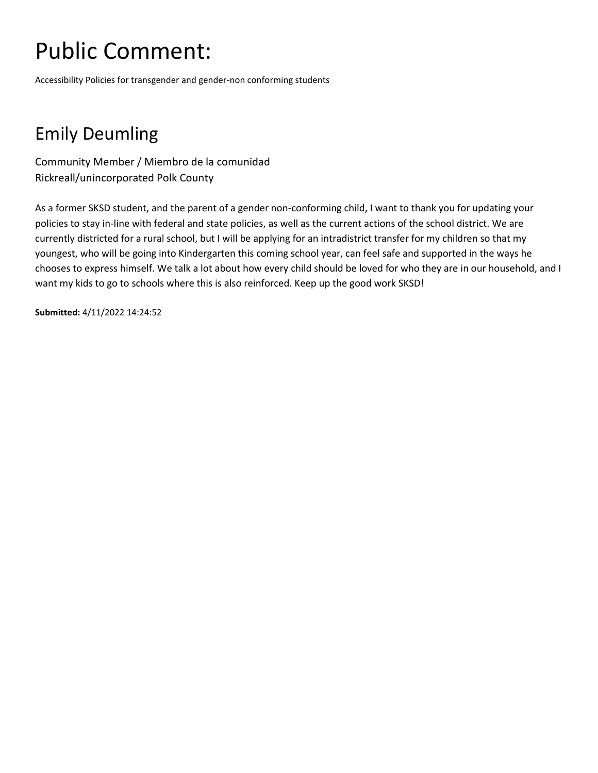Accessibility Policies for transgender and gender-non conforming students

### Emily Deumling

Community Member / Miembro de la comunidad Rickreall/unincorporated Polk County

As a former SKSD student, and the parent of a gender non-conforming child, I want to thank you for updating your policies to stay in-line with federal and state policies, as well as the current actions of the school district. We are currently districted for a rural school, but I will be applying for an intradistrict transfer for my children so that my youngest, who will be going into Kindergarten this coming school year, can feel safe and supported in the ways he chooses to express himself. We talk a lot about how every child should be loved for who they are in our household, and I want my kids to go to schools where this is also reinforced. Keep up the good work SKSD!

**Submitted:** 4/11/2022 14:24:52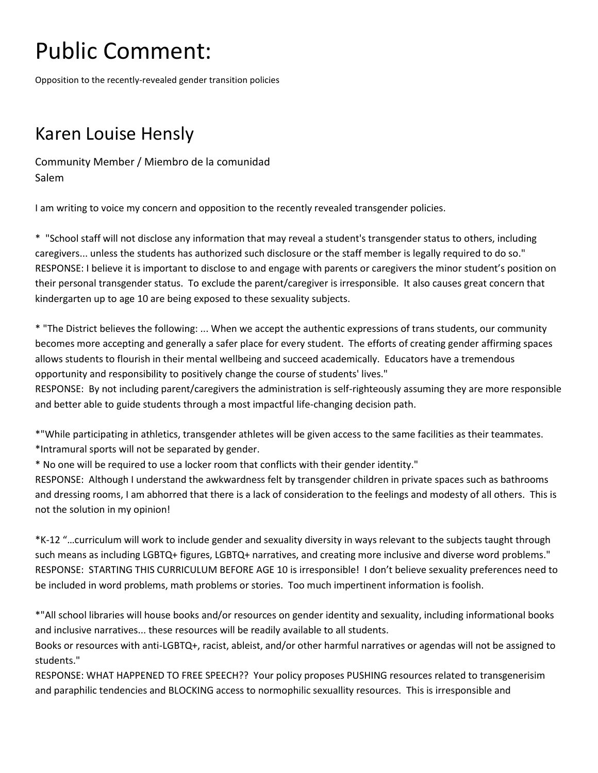Opposition to the recently-revealed gender transition policies

### Karen Louise Hensly

Community Member / Miembro de la comunidad Salem

I am writing to voice my concern and opposition to the recently revealed transgender policies.

\* "School staff will not disclose any information that may reveal a student's transgender status to others, including caregivers... unless the students has authorized such disclosure or the staff member is legally required to do so." RESPONSE: I believe it is important to disclose to and engage with parents or caregivers the minor student's position on their personal transgender status. To exclude the parent/caregiver is irresponsible. It also causes great concern that kindergarten up to age 10 are being exposed to these sexuality subjects.

\* "The District believes the following: ... When we accept the authentic expressions of trans students, our community becomes more accepting and generally a safer place for every student. The efforts of creating gender affirming spaces allows students to flourish in their mental wellbeing and succeed academically. Educators have a tremendous opportunity and responsibility to positively change the course of students' lives."

RESPONSE: By not including parent/caregivers the administration is self-righteously assuming they are more responsible and better able to guide students through a most impactful life-changing decision path.

\*"While participating in athletics, transgender athletes will be given access to the same facilities as their teammates. \*Intramural sports will not be separated by gender.

\* No one will be required to use a locker room that conflicts with their gender identity."

RESPONSE: Although I understand the awkwardness felt by transgender children in private spaces such as bathrooms and dressing rooms, I am abhorred that there is a lack of consideration to the feelings and modesty of all others. This is not the solution in my opinion!

\*K-12 "…curriculum will work to include gender and sexuality diversity in ways relevant to the subjects taught through such means as including LGBTQ+ figures, LGBTQ+ narratives, and creating more inclusive and diverse word problems." RESPONSE: STARTING THIS CURRICULUM BEFORE AGE 10 is irresponsible! I don't believe sexuality preferences need to be included in word problems, math problems or stories. Too much impertinent information is foolish.

\*"All school libraries will house books and/or resources on gender identity and sexuality, including informational books and inclusive narratives... these resources will be readily available to all students.

Books or resources with anti-LGBTQ+, racist, ableist, and/or other harmful narratives or agendas will not be assigned to students."

RESPONSE: WHAT HAPPENED TO FREE SPEECH?? Your policy proposes PUSHING resources related to transgenerisim and paraphilic tendencies and BLOCKING access to normophilic sexuallity resources. This is irresponsible and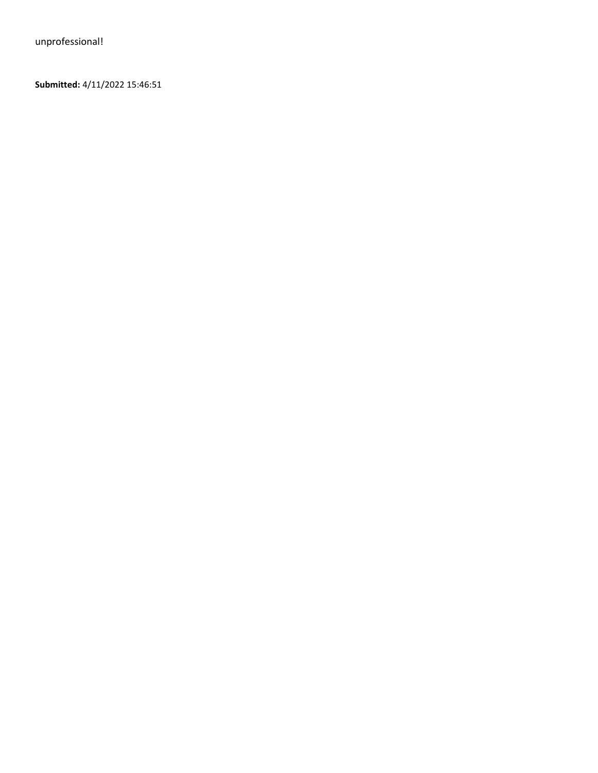**Submitted:** 4/11/2022 15:46:51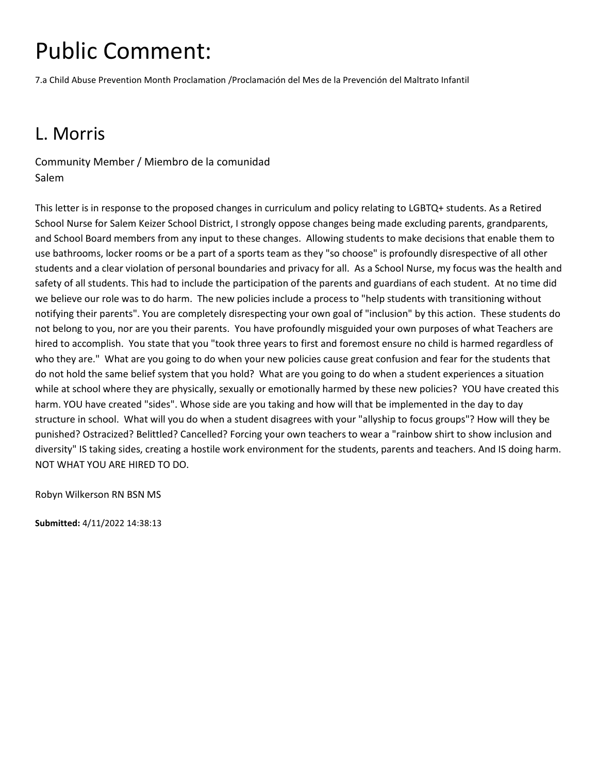7.a Child Abuse Prevention Month Proclamation /Proclamación del Mes de la Prevención del Maltrato Infantil

### L. Morris

Community Member / Miembro de la comunidad Salem

This letter is in response to the proposed changes in curriculum and policy relating to LGBTQ+ students. As a Retired School Nurse for Salem Keizer School District, I strongly oppose changes being made excluding parents, grandparents, and School Board members from any input to these changes. Allowing students to make decisions that enable them to use bathrooms, locker rooms or be a part of a sports team as they "so choose" is profoundly disrespective of all other students and a clear violation of personal boundaries and privacy for all. As a School Nurse, my focus was the health and safety of all students. This had to include the participation of the parents and guardians of each student. At no time did we believe our role was to do harm. The new policies include a process to "help students with transitioning without notifying their parents". You are completely disrespecting your own goal of "inclusion" by this action. These students do not belong to you, nor are you their parents. You have profoundly misguided your own purposes of what Teachers are hired to accomplish. You state that you "took three years to first and foremost ensure no child is harmed regardless of who they are." What are you going to do when your new policies cause great confusion and fear for the students that do not hold the same belief system that you hold? What are you going to do when a student experiences a situation while at school where they are physically, sexually or emotionally harmed by these new policies? YOU have created this harm. YOU have created "sides". Whose side are you taking and how will that be implemented in the day to day structure in school. What will you do when a student disagrees with your "allyship to focus groups"? How will they be punished? Ostracized? Belittled? Cancelled? Forcing your own teachers to wear a "rainbow shirt to show inclusion and diversity" IS taking sides, creating a hostile work environment for the students, parents and teachers. And IS doing harm. NOT WHAT YOU ARE HIRED TO DO.

Robyn Wilkerson RN BSN MS

**Submitted:** 4/11/2022 14:38:13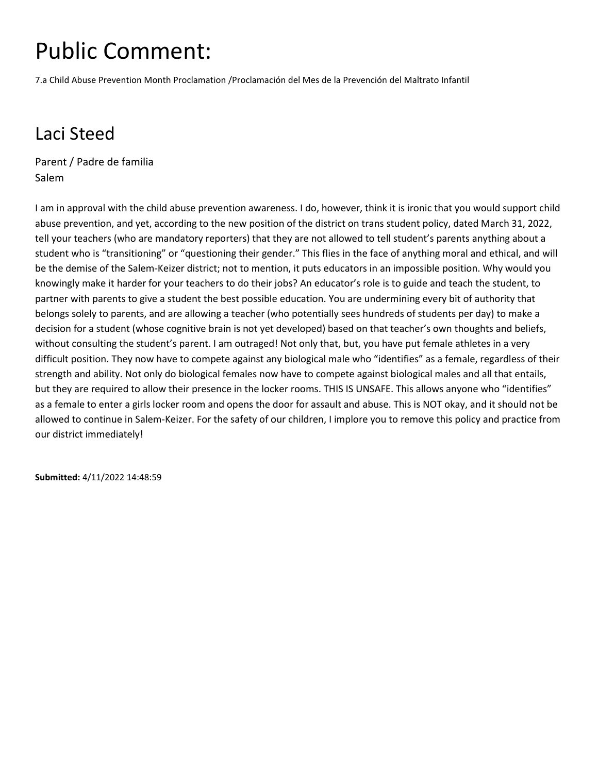7.a Child Abuse Prevention Month Proclamation /Proclamación del Mes de la Prevención del Maltrato Infantil

### Laci Steed

Parent / Padre de familia Salem

I am in approval with the child abuse prevention awareness. I do, however, think it is ironic that you would support child abuse prevention, and yet, according to the new position of the district on trans student policy, dated March 31, 2022, tell your teachers (who are mandatory reporters) that they are not allowed to tell student's parents anything about a student who is "transitioning" or "questioning their gender." This flies in the face of anything moral and ethical, and will be the demise of the Salem-Keizer district; not to mention, it puts educators in an impossible position. Why would you knowingly make it harder for your teachers to do their jobs? An educator's role is to guide and teach the student, to partner with parents to give a student the best possible education. You are undermining every bit of authority that belongs solely to parents, and are allowing a teacher (who potentially sees hundreds of students per day) to make a decision for a student (whose cognitive brain is not yet developed) based on that teacher's own thoughts and beliefs, without consulting the student's parent. I am outraged! Not only that, but, you have put female athletes in a very difficult position. They now have to compete against any biological male who "identifies" as a female, regardless of their strength and ability. Not only do biological females now have to compete against biological males and all that entails, but they are required to allow their presence in the locker rooms. THIS IS UNSAFE. This allows anyone who "identifies" as a female to enter a girls locker room and opens the door for assault and abuse. This is NOT okay, and it should not be allowed to continue in Salem-Keizer. For the safety of our children, I implore you to remove this policy and practice from our district immediately!

**Submitted:** 4/11/2022 14:48:59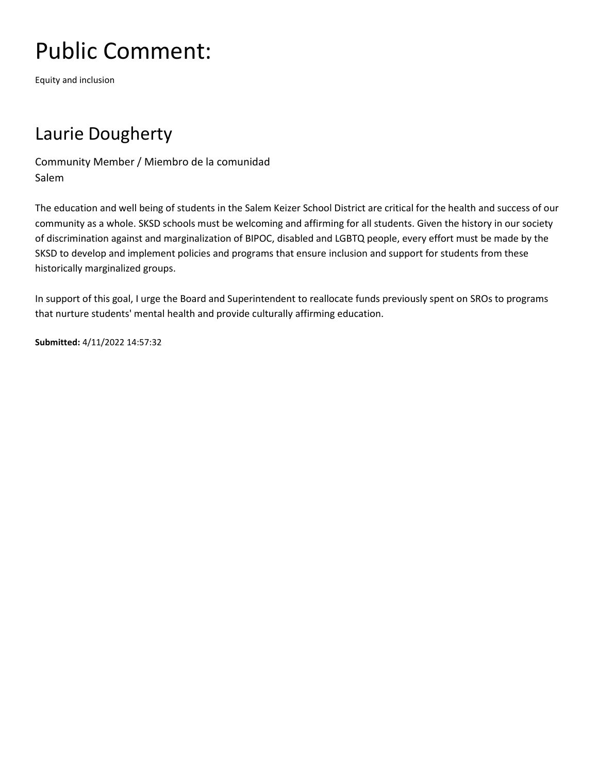Equity and inclusion

### Laurie Dougherty

Community Member / Miembro de la comunidad Salem

The education and well being of students in the Salem Keizer School District are critical for the health and success of our community as a whole. SKSD schools must be welcoming and affirming for all students. Given the history in our society of discrimination against and marginalization of BIPOC, disabled and LGBTQ people, every effort must be made by the SKSD to develop and implement policies and programs that ensure inclusion and support for students from these historically marginalized groups.

In support of this goal, I urge the Board and Superintendent to reallocate funds previously spent on SROs to programs that nurture students' mental health and provide culturally affirming education.

**Submitted:** 4/11/2022 14:57:32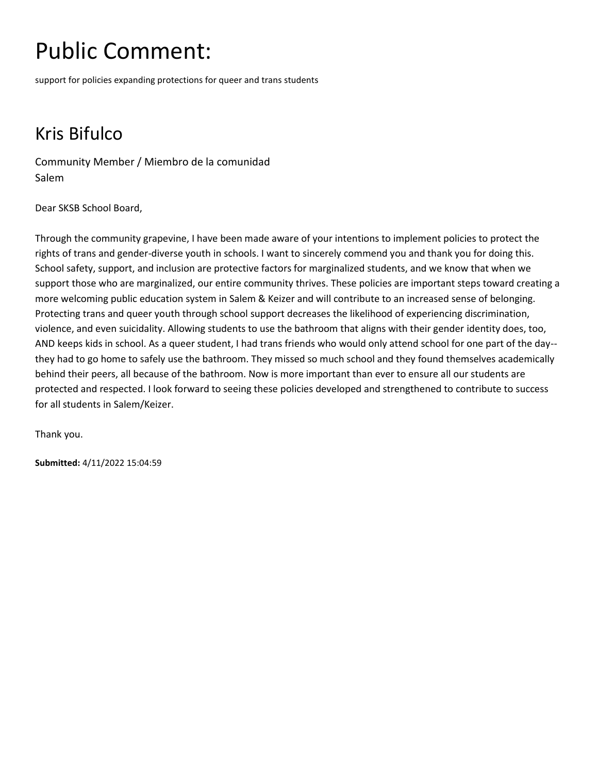support for policies expanding protections for queer and trans students

### Kris Bifulco

Community Member / Miembro de la comunidad Salem

Dear SKSB School Board,

Through the community grapevine, I have been made aware of your intentions to implement policies to protect the rights of trans and gender-diverse youth in schools. I want to sincerely commend you and thank you for doing this. School safety, support, and inclusion are protective factors for marginalized students, and we know that when we support those who are marginalized, our entire community thrives. These policies are important steps toward creating a more welcoming public education system in Salem & Keizer and will contribute to an increased sense of belonging. Protecting trans and queer youth through school support decreases the likelihood of experiencing discrimination, violence, and even suicidality. Allowing students to use the bathroom that aligns with their gender identity does, too, AND keeps kids in school. As a queer student, I had trans friends who would only attend school for one part of the day- they had to go home to safely use the bathroom. They missed so much school and they found themselves academically behind their peers, all because of the bathroom. Now is more important than ever to ensure all our students are protected and respected. I look forward to seeing these policies developed and strengthened to contribute to success for all students in Salem/Keizer.

Thank you.

**Submitted:** 4/11/2022 15:04:59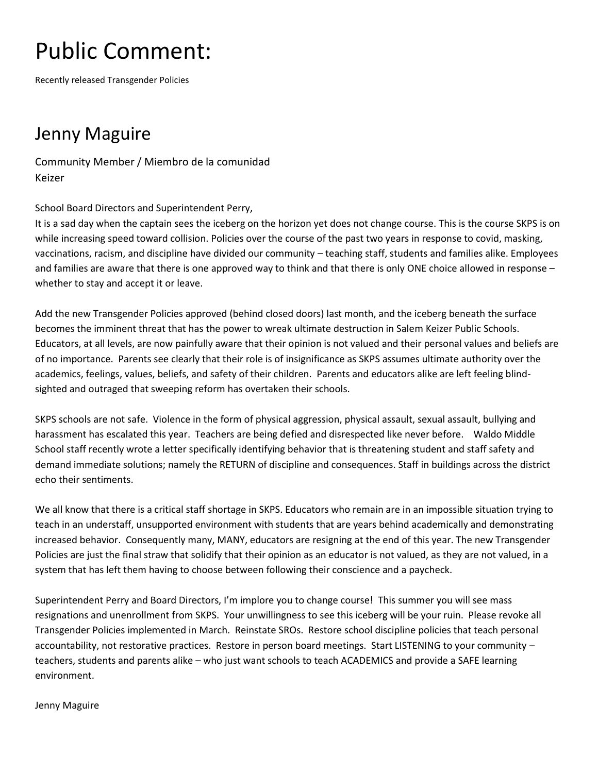Recently released Transgender Policies

#### Jenny Maguire

Community Member / Miembro de la comunidad Keizer

School Board Directors and Superintendent Perry,

It is a sad day when the captain sees the iceberg on the horizon yet does not change course. This is the course SKPS is on while increasing speed toward collision. Policies over the course of the past two years in response to covid, masking, vaccinations, racism, and discipline have divided our community – teaching staff, students and families alike. Employees and families are aware that there is one approved way to think and that there is only ONE choice allowed in response – whether to stay and accept it or leave.

Add the new Transgender Policies approved (behind closed doors) last month, and the iceberg beneath the surface becomes the imminent threat that has the power to wreak ultimate destruction in Salem Keizer Public Schools. Educators, at all levels, are now painfully aware that their opinion is not valued and their personal values and beliefs are of no importance. Parents see clearly that their role is of insignificance as SKPS assumes ultimate authority over the academics, feelings, values, beliefs, and safety of their children. Parents and educators alike are left feeling blindsighted and outraged that sweeping reform has overtaken their schools.

SKPS schools are not safe. Violence in the form of physical aggression, physical assault, sexual assault, bullying and harassment has escalated this year. Teachers are being defied and disrespected like never before. Waldo Middle School staff recently wrote a letter specifically identifying behavior that is threatening student and staff safety and demand immediate solutions; namely the RETURN of discipline and consequences. Staff in buildings across the district echo their sentiments.

We all know that there is a critical staff shortage in SKPS. Educators who remain are in an impossible situation trying to teach in an understaff, unsupported environment with students that are years behind academically and demonstrating increased behavior. Consequently many, MANY, educators are resigning at the end of this year. The new Transgender Policies are just the final straw that solidify that their opinion as an educator is not valued, as they are not valued, in a system that has left them having to choose between following their conscience and a paycheck.

Superintendent Perry and Board Directors, I'm implore you to change course! This summer you will see mass resignations and unenrollment from SKPS. Your unwillingness to see this iceberg will be your ruin. Please revoke all Transgender Policies implemented in March. Reinstate SROs. Restore school discipline policies that teach personal accountability, not restorative practices. Restore in person board meetings. Start LISTENING to your community – teachers, students and parents alike – who just want schools to teach ACADEMICS and provide a SAFE learning environment.

Jenny Maguire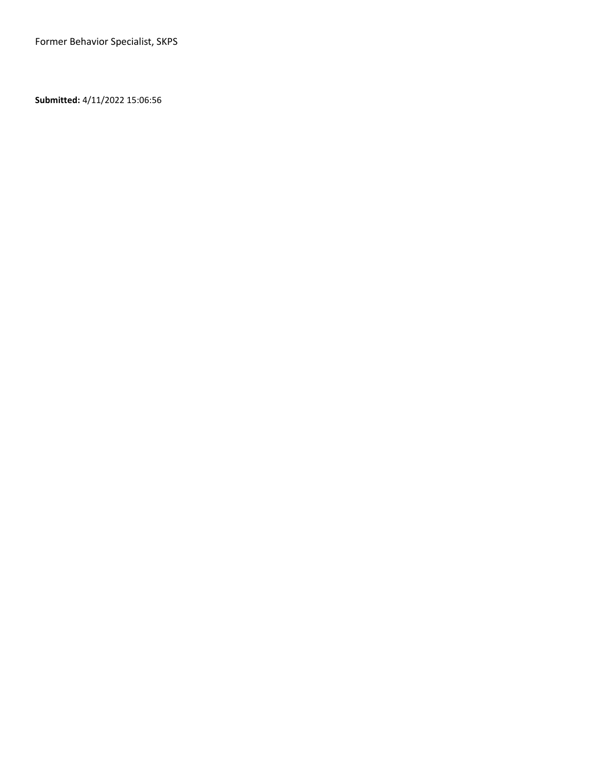**Submitted:** 4/11/2022 15:06:56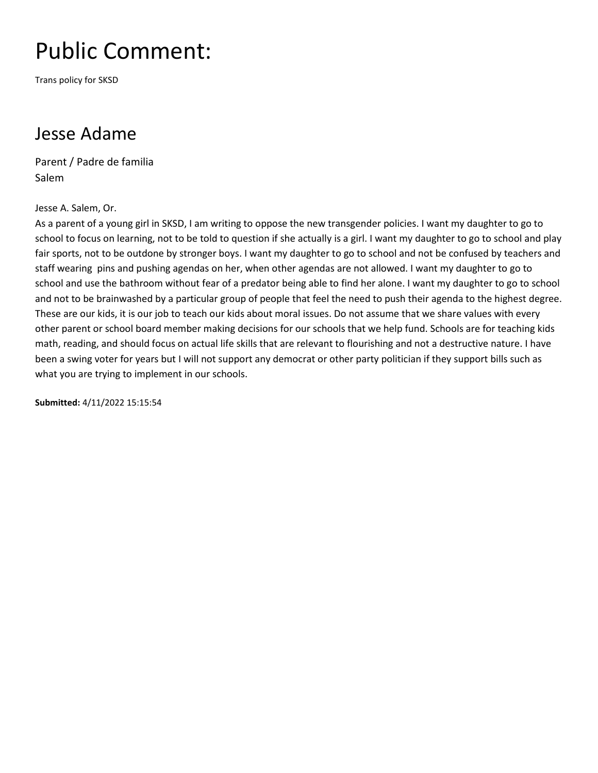Trans policy for SKSD

#### Jesse Adame

Parent / Padre de familia Salem

Jesse A. Salem, Or.

As a parent of a young girl in SKSD, I am writing to oppose the new transgender policies. I want my daughter to go to school to focus on learning, not to be told to question if she actually is a girl. I want my daughter to go to school and play fair sports, not to be outdone by stronger boys. I want my daughter to go to school and not be confused by teachers and staff wearing pins and pushing agendas on her, when other agendas are not allowed. I want my daughter to go to school and use the bathroom without fear of a predator being able to find her alone. I want my daughter to go to school and not to be brainwashed by a particular group of people that feel the need to push their agenda to the highest degree. These are our kids, it is our job to teach our kids about moral issues. Do not assume that we share values with every other parent or school board member making decisions for our schools that we help fund. Schools are for teaching kids math, reading, and should focus on actual life skills that are relevant to flourishing and not a destructive nature. I have been a swing voter for years but I will not support any democrat or other party politician if they support bills such as what you are trying to implement in our schools.

**Submitted:** 4/11/2022 15:15:54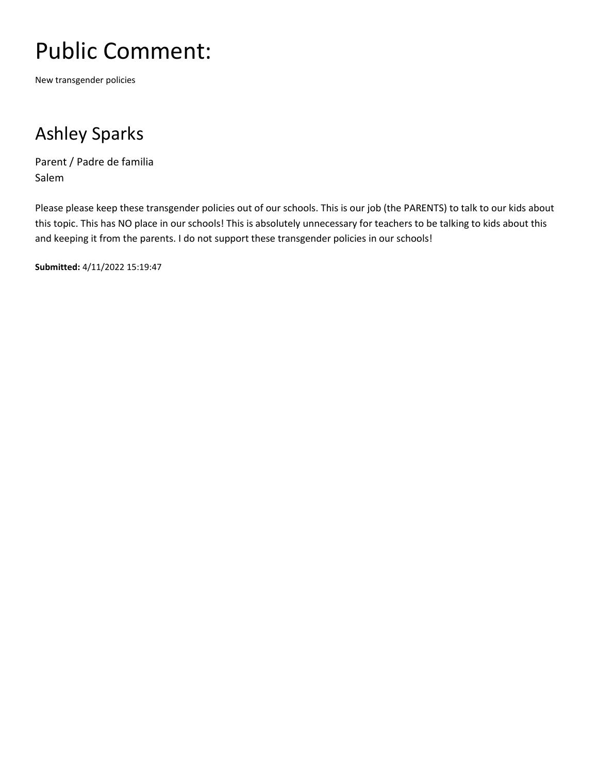New transgender policies

### Ashley Sparks

Parent / Padre de familia Salem

Please please keep these transgender policies out of our schools. This is our job (the PARENTS) to talk to our kids about this topic. This has NO place in our schools! This is absolutely unnecessary for teachers to be talking to kids about this and keeping it from the parents. I do not support these transgender policies in our schools!

**Submitted:** 4/11/2022 15:19:47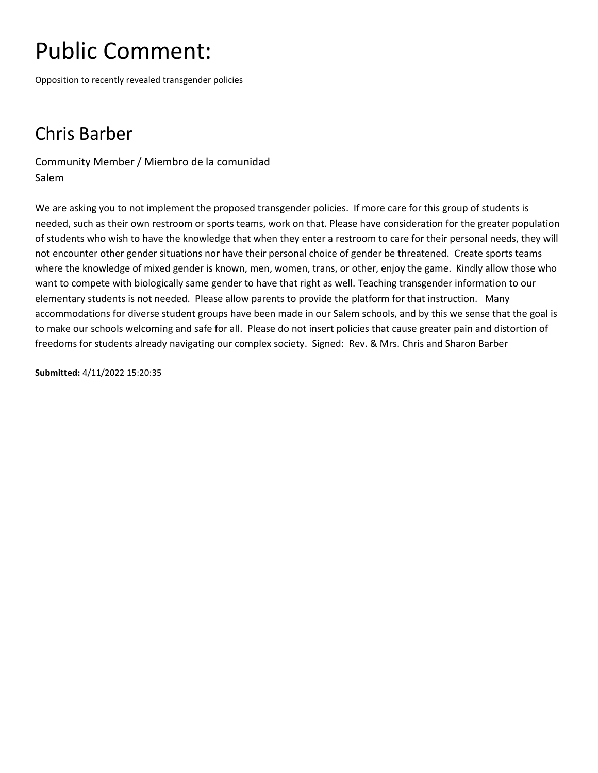Opposition to recently revealed transgender policies

### Chris Barber

Community Member / Miembro de la comunidad Salem

We are asking you to not implement the proposed transgender policies. If more care for this group of students is needed, such as their own restroom or sports teams, work on that. Please have consideration for the greater population of students who wish to have the knowledge that when they enter a restroom to care for their personal needs, they will not encounter other gender situations nor have their personal choice of gender be threatened. Create sports teams where the knowledge of mixed gender is known, men, women, trans, or other, enjoy the game. Kindly allow those who want to compete with biologically same gender to have that right as well. Teaching transgender information to our elementary students is not needed. Please allow parents to provide the platform for that instruction. Many accommodations for diverse student groups have been made in our Salem schools, and by this we sense that the goal is to make our schools welcoming and safe for all. Please do not insert policies that cause greater pain and distortion of freedoms for students already navigating our complex society. Signed: Rev. & Mrs. Chris and Sharon Barber

**Submitted:** 4/11/2022 15:20:35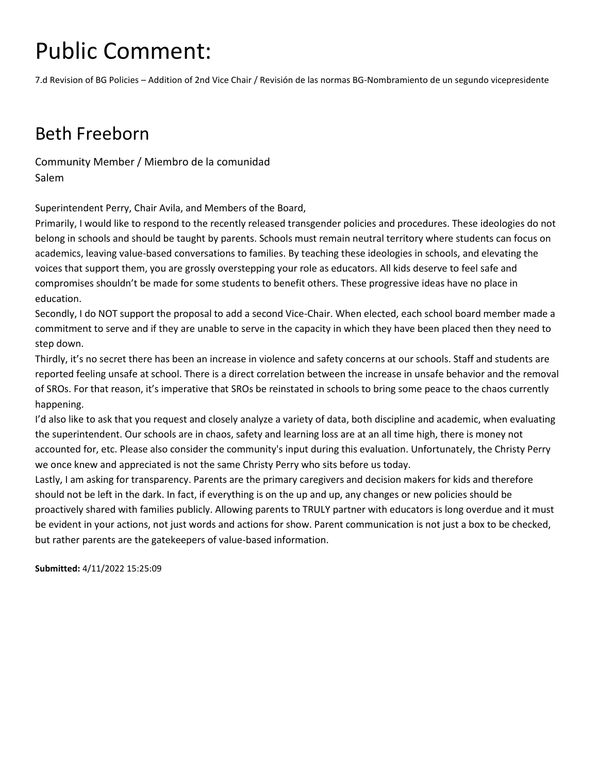7.d Revision of BG Policies – Addition of 2nd Vice Chair / Revisión de las normas BG-Nombramiento de un segundo vicepresidente

#### Beth Freeborn

Community Member / Miembro de la comunidad Salem

Superintendent Perry, Chair Avila, and Members of the Board,

Primarily, I would like to respond to the recently released transgender policies and procedures. These ideologies do not belong in schools and should be taught by parents. Schools must remain neutral territory where students can focus on academics, leaving value-based conversations to families. By teaching these ideologies in schools, and elevating the voices that support them, you are grossly overstepping your role as educators. All kids deserve to feel safe and compromises shouldn't be made for some students to benefit others. These progressive ideas have no place in education.

Secondly, I do NOT support the proposal to add a second Vice-Chair. When elected, each school board member made a commitment to serve and if they are unable to serve in the capacity in which they have been placed then they need to step down.

Thirdly, it's no secret there has been an increase in violence and safety concerns at our schools. Staff and students are reported feeling unsafe at school. There is a direct correlation between the increase in unsafe behavior and the removal of SROs. For that reason, it's imperative that SROs be reinstated in schools to bring some peace to the chaos currently happening.

I'd also like to ask that you request and closely analyze a variety of data, both discipline and academic, when evaluating the superintendent. Our schools are in chaos, safety and learning loss are at an all time high, there is money not accounted for, etc. Please also consider the community's input during this evaluation. Unfortunately, the Christy Perry we once knew and appreciated is not the same Christy Perry who sits before us today.

Lastly, I am asking for transparency. Parents are the primary caregivers and decision makers for kids and therefore should not be left in the dark. In fact, if everything is on the up and up, any changes or new policies should be proactively shared with families publicly. Allowing parents to TRULY partner with educators is long overdue and it must be evident in your actions, not just words and actions for show. Parent communication is not just a box to be checked, but rather parents are the gatekeepers of value-based information.

**Submitted:** 4/11/2022 15:25:09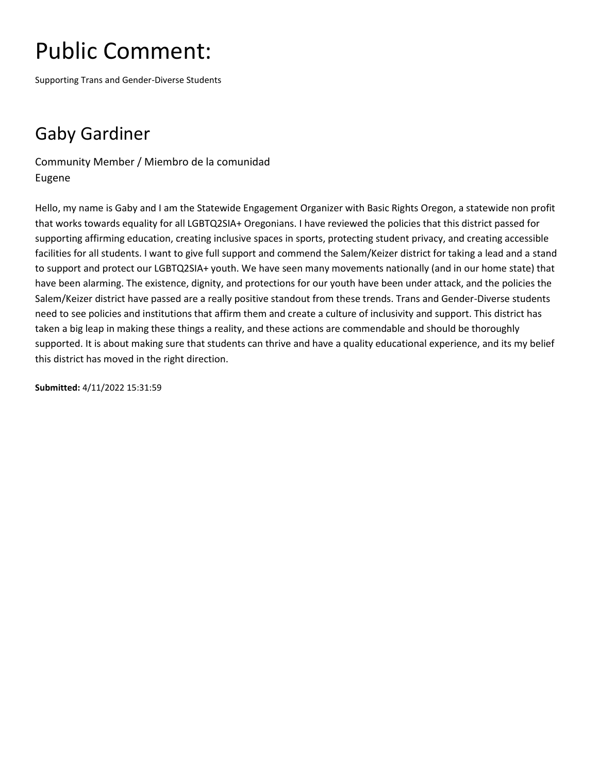Supporting Trans and Gender-Diverse Students

### Gaby Gardiner

Community Member / Miembro de la comunidad Eugene

Hello, my name is Gaby and I am the Statewide Engagement Organizer with Basic Rights Oregon, a statewide non profit that works towards equality for all LGBTQ2SIA+ Oregonians. I have reviewed the policies that this district passed for supporting affirming education, creating inclusive spaces in sports, protecting student privacy, and creating accessible facilities for all students. I want to give full support and commend the Salem/Keizer district for taking a lead and a stand to support and protect our LGBTQ2SIA+ youth. We have seen many movements nationally (and in our home state) that have been alarming. The existence, dignity, and protections for our youth have been under attack, and the policies the Salem/Keizer district have passed are a really positive standout from these trends. Trans and Gender-Diverse students need to see policies and institutions that affirm them and create a culture of inclusivity and support. This district has taken a big leap in making these things a reality, and these actions are commendable and should be thoroughly supported. It is about making sure that students can thrive and have a quality educational experience, and its my belief this district has moved in the right direction.

**Submitted:** 4/11/2022 15:31:59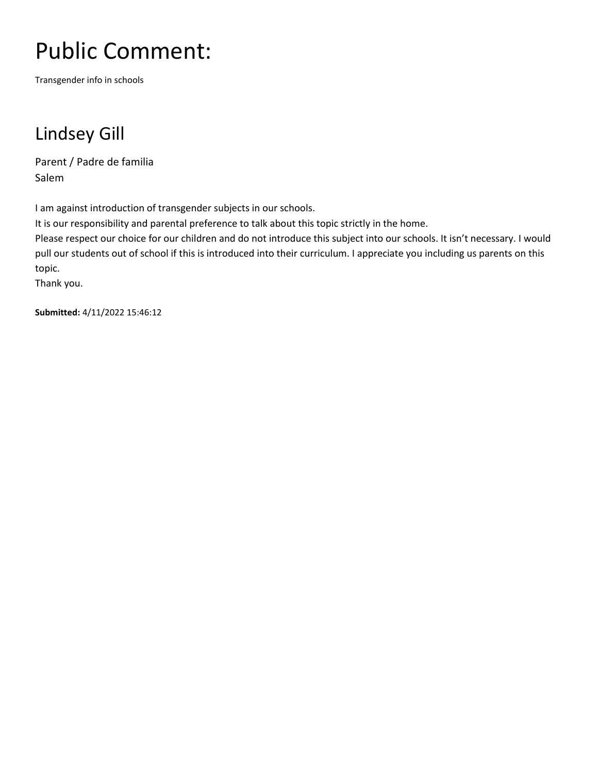Transgender info in schools

### Lindsey Gill

Parent / Padre de familia Salem

I am against introduction of transgender subjects in our schools.

It is our responsibility and parental preference to talk about this topic strictly in the home.

Please respect our choice for our children and do not introduce this subject into our schools. It isn't necessary. I would pull our students out of school if this is introduced into their curriculum. I appreciate you including us parents on this topic.

Thank you.

**Submitted:** 4/11/2022 15:46:12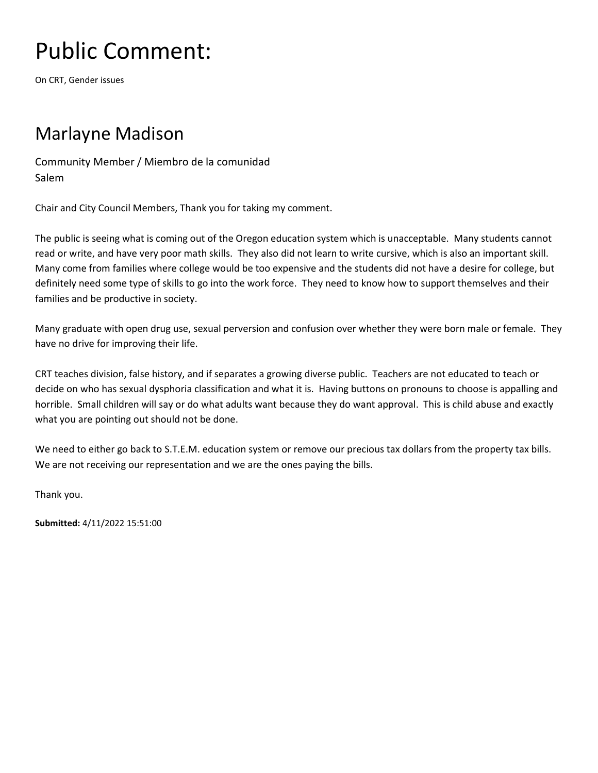On CRT, Gender issues

#### Marlayne Madison

Community Member / Miembro de la comunidad Salem

Chair and City Council Members, Thank you for taking my comment.

The public is seeing what is coming out of the Oregon education system which is unacceptable. Many students cannot read or write, and have very poor math skills. They also did not learn to write cursive, which is also an important skill. Many come from families where college would be too expensive and the students did not have a desire for college, but definitely need some type of skills to go into the work force. They need to know how to support themselves and their families and be productive in society.

Many graduate with open drug use, sexual perversion and confusion over whether they were born male or female. They have no drive for improving their life.

CRT teaches division, false history, and if separates a growing diverse public. Teachers are not educated to teach or decide on who has sexual dysphoria classification and what it is. Having buttons on pronouns to choose is appalling and horrible. Small children will say or do what adults want because they do want approval. This is child abuse and exactly what you are pointing out should not be done.

We need to either go back to S.T.E.M. education system or remove our precious tax dollars from the property tax bills. We are not receiving our representation and we are the ones paying the bills.

Thank you.

**Submitted:** 4/11/2022 15:51:00